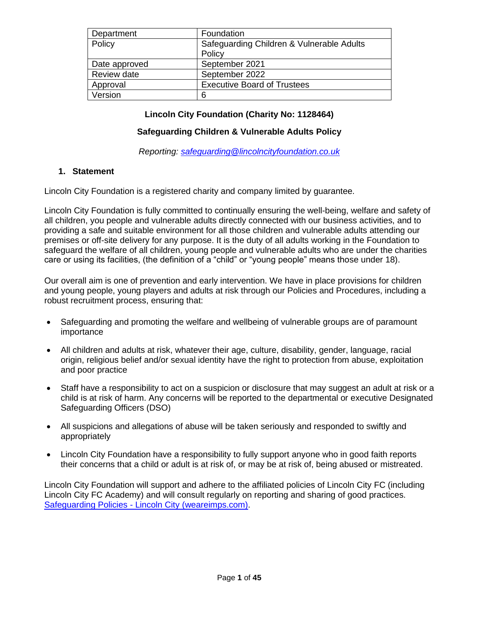| Department    | Foundation                                |
|---------------|-------------------------------------------|
| Policy        | Safeguarding Children & Vulnerable Adults |
|               | Policy                                    |
| Date approved | September 2021                            |
| Review date   | September 2022                            |
| Approval      | <b>Executive Board of Trustees</b>        |
| Version       | 6                                         |

## **Lincoln City Foundation (Charity No: 1128464)**

### **Safeguarding Children & Vulnerable Adults Policy**

*Reporting: [safeguarding@lincolncityfoundation.co.uk](mailto:safeguarding@lincolncityfoundation.co.uk)*

#### **1. Statement**

Lincoln City Foundation is a registered charity and company limited by guarantee.

Lincoln City Foundation is fully committed to continually ensuring the well-being, welfare and safety of all children, you people and vulnerable adults directly connected with our business activities, and to providing a safe and suitable environment for all those children and vulnerable adults attending our premises or off-site delivery for any purpose. It is the duty of all adults working in the Foundation to safeguard the welfare of all children, young people and vulnerable adults who are under the charities care or using its facilities, (the definition of a "child" or "young people" means those under 18).

Our overall aim is one of prevention and early intervention. We have in place provisions for children and young people, young players and adults at risk through our Policies and Procedures, including a robust recruitment process, ensuring that:

- Safeguarding and promoting the welfare and wellbeing of vulnerable groups are of paramount importance
- All children and adults at risk, whatever their age, culture, disability, gender, language, racial origin, religious belief and/or sexual identity have the right to protection from abuse, exploitation and poor practice
- Staff have a responsibility to act on a suspicion or disclosure that may suggest an adult at risk or a child is at risk of harm. Any concerns will be reported to the departmental or executive Designated Safeguarding Officers (DSO)
- All suspicions and allegations of abuse will be taken seriously and responded to swiftly and appropriately
- Lincoln City Foundation have a responsibility to fully support anyone who in good faith reports their concerns that a child or adult is at risk of, or may be at risk of, being abused or mistreated.

Lincoln City Foundation will support and adhere to the affiliated policies of Lincoln City FC (including Lincoln City FC Academy) and will consult regularly on reporting and sharing of good practices. Safeguarding Policies - [Lincoln City \(weareimps.com\).](https://www.weareimps.com/club/policies/safeguarding-policies/)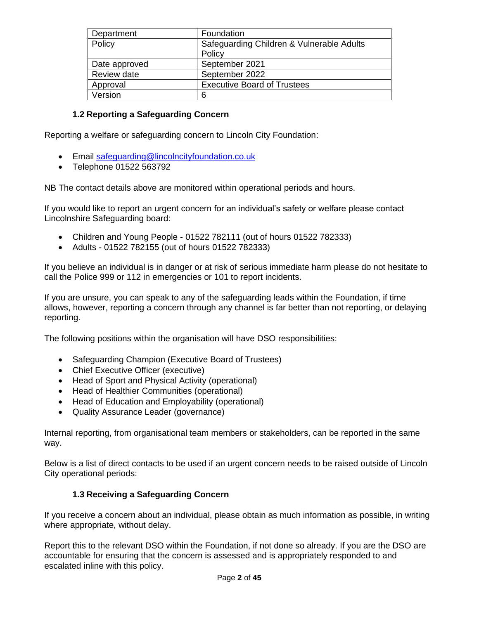| Department    | Foundation                                |
|---------------|-------------------------------------------|
| Policy        | Safeguarding Children & Vulnerable Adults |
|               | Policy                                    |
| Date approved | September 2021                            |
| Review date   | September 2022                            |
| Approval      | <b>Executive Board of Trustees</b>        |
| Version       | 6                                         |

## **1.2 Reporting a Safeguarding Concern**

Reporting a welfare or safeguarding concern to Lincoln City Foundation:

- Email [safeguarding@lincolncityfoundation.co.uk](mailto:safeguarding@lincolncityfoundation.co.uk)
- Telephone 01522 563792

NB The contact details above are monitored within operational periods and hours.

If you would like to report an urgent concern for an individual's safety or welfare please contact Lincolnshire Safeguarding board:

- Children and Young People 01522 782111 (out of hours 01522 782333)
- Adults 01522 782155 (out of hours 01522 782333)

If you believe an individual is in danger or at risk of serious immediate harm please do not hesitate to call the Police 999 or 112 in emergencies or 101 to report incidents.

If you are unsure, you can speak to any of the safeguarding leads within the Foundation, if time allows, however, reporting a concern through any channel is far better than not reporting, or delaying reporting.

The following positions within the organisation will have DSO responsibilities:

- Safeguarding Champion (Executive Board of Trustees)
- Chief Executive Officer (executive)
- Head of Sport and Physical Activity (operational)
- Head of Healthier Communities (operational)
- Head of Education and Employability (operational)
- Quality Assurance Leader (governance)

Internal reporting, from organisational team members or stakeholders, can be reported in the same way.

Below is a list of direct contacts to be used if an urgent concern needs to be raised outside of Lincoln City operational periods:

#### **1.3 Receiving a Safeguarding Concern**

If you receive a concern about an individual, please obtain as much information as possible, in writing where appropriate, without delay.

Report this to the relevant DSO within the Foundation, if not done so already. If you are the DSO are accountable for ensuring that the concern is assessed and is appropriately responded to and escalated inline with this policy.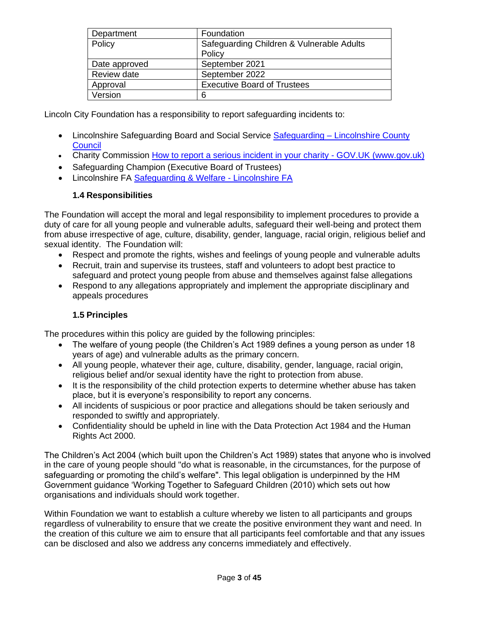| Department    | Foundation                                |
|---------------|-------------------------------------------|
| Policy        | Safeguarding Children & Vulnerable Adults |
|               | Policy                                    |
| Date approved | September 2021                            |
| Review date   | September 2022                            |
| Approval      | <b>Executive Board of Trustees</b>        |
| Version       | 6                                         |

Lincoln City Foundation has a responsibility to report safeguarding incidents to:

- Lincolnshire Safeguarding Board and Social Service Safeguarding Lincolnshire County **[Council](https://www.lincolnshire.gov.uk/safeguarding)**
- Charity Commission [How to report a serious incident in your charity -](https://www.gov.uk/guidance/how-to-report-a-serious-incident-in-your-charity) GOV.UK (www.gov.uk)
- Safeguarding Champion (Executive Board of Trustees)
- Lincolnshire FA [Safeguarding & Welfare -](https://www.lincolnshirefa.com/safeguarding) Lincolnshire FA

# **1.4 Responsibilities**

The Foundation will accept the moral and legal responsibility to implement procedures to provide a duty of care for all young people and vulnerable adults, safeguard their well-being and protect them from abuse irrespective of age, culture, disability, gender, language, racial origin, religious belief and sexual identity. The Foundation will:

- Respect and promote the rights, wishes and feelings of young people and vulnerable adults
- Recruit, train and supervise its trustees, staff and volunteers to adopt best practice to safeguard and protect young people from abuse and themselves against false allegations
- Respond to any allegations appropriately and implement the appropriate disciplinary and appeals procedures

# **1.5 Principles**

The procedures within this policy are guided by the following principles:

- The welfare of young people (the Children's Act 1989 defines a young person as under 18 years of age) and vulnerable adults as the primary concern.
- All young people, whatever their age, culture, disability, gender, language, racial origin, religious belief and/or sexual identity have the right to protection from abuse.
- It is the responsibility of the child protection experts to determine whether abuse has taken place, but it is everyone's responsibility to report any concerns.
- All incidents of suspicious or poor practice and allegations should be taken seriously and responded to swiftly and appropriately.
- Confidentiality should be upheld in line with the Data Protection Act 1984 and the Human Rights Act 2000.

The Children's Act 2004 (which built upon the Children's Act 1989) states that anyone who is involved in the care of young people should "do what is reasonable, in the circumstances, for the purpose of safeguarding or promoting the child's welfare". This legal obligation is underpinned by the HM Government guidance 'Working Together to Safeguard Children (2010) which sets out how organisations and individuals should work together.

Within Foundation we want to establish a culture whereby we listen to all participants and groups regardless of vulnerability to ensure that we create the positive environment they want and need. In the creation of this culture we aim to ensure that all participants feel comfortable and that any issues can be disclosed and also we address any concerns immediately and effectively.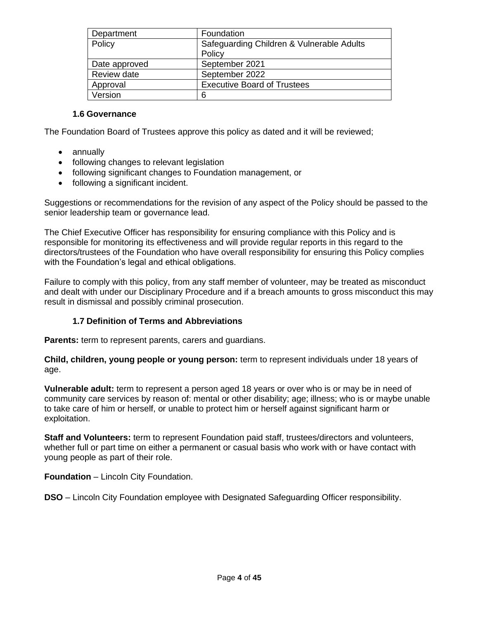| Department    | Foundation                                |
|---------------|-------------------------------------------|
| Policy        | Safeguarding Children & Vulnerable Adults |
|               | Policy                                    |
| Date approved | September 2021                            |
| Review date   | September 2022                            |
| Approval      | <b>Executive Board of Trustees</b>        |
| Version       | 6                                         |

### **1.6 Governance**

The Foundation Board of Trustees approve this policy as dated and it will be reviewed;

- annually
- following changes to relevant legislation
- following significant changes to Foundation management, or
- following a significant incident.

Suggestions or recommendations for the revision of any aspect of the Policy should be passed to the senior leadership team or governance lead.

The Chief Executive Officer has responsibility for ensuring compliance with this Policy and is responsible for monitoring its effectiveness and will provide regular reports in this regard to the directors/trustees of the Foundation who have overall responsibility for ensuring this Policy complies with the Foundation's legal and ethical obligations.

Failure to comply with this policy, from any staff member of volunteer, may be treated as misconduct and dealt with under our Disciplinary Procedure and if a breach amounts to gross misconduct this may result in dismissal and possibly criminal prosecution.

# **1.7 Definition of Terms and Abbreviations**

**Parents:** term to represent parents, carers and guardians.

**Child, children, young people or young person:** term to represent individuals under 18 years of age.

**Vulnerable adult:** term to represent a person aged 18 years or over who is or may be in need of community care services by reason of: mental or other disability; age; illness; who is or maybe unable to take care of him or herself, or unable to protect him or herself against significant harm or exploitation.

**Staff and Volunteers:** term to represent Foundation paid staff, trustees/directors and volunteers, whether full or part time on either a permanent or casual basis who work with or have contact with young people as part of their role.

**Foundation** – Lincoln City Foundation.

**DSO** – Lincoln City Foundation employee with Designated Safeguarding Officer responsibility.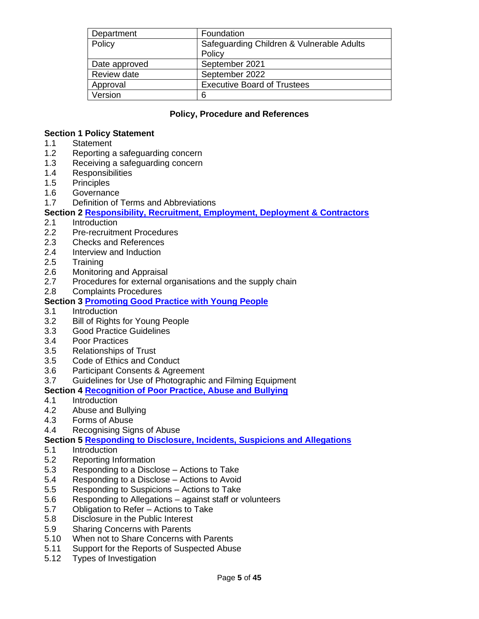| Department    | Foundation                                |
|---------------|-------------------------------------------|
| Policy        | Safeguarding Children & Vulnerable Adults |
|               | Policy                                    |
| Date approved | September 2021                            |
| Review date   | September 2022                            |
| Approval      | <b>Executive Board of Trustees</b>        |
| Version       | 6                                         |

## **Policy, Procedure and References**

#### **Section 1 Policy Statement**

- 1.1 Statement
- 1.2 Reporting a safeguarding concern
- 1.3 Receiving a safeguarding concern
- 1.4 Responsibilities
- 1.5 Principles
- 1.6 Governance
- 1.7 Definition of Terms and Abbreviations

**Section 2 [Responsibility, Recruitment, Employment, Deployment & Contractors](#page-6-0)**

- 2.1 Introduction
- 2.2 Pre-recruitment Procedures
- 2.3 Checks and References
- 2.4 Interview and Induction
- 2.5 Training
- 2.6 Monitoring and Appraisal
- 2.7 Procedures for external organisations and the supply chain
- 2.8 Complaints Procedures

#### **Section 3 [Promoting Good Practice with Young People](#page-10-0)**

- 3.1 Introduction
- 3.2 Bill of Rights for Young People
- 3.3 Good Practice Guidelines
- 3.4 Poor Practices
- 3.5 Relationships of Trust
- 3.5 Code of Ethics and Conduct
- 3.6 Participant Consents & Agreement
- 3.7 Guidelines for Use of Photographic and Filming Equipment

#### **Section 4 [Recognition of Poor Practice, Abuse and Bullying](#page-13-0)**

- 4.1 Introduction
- 4.2 Abuse and Bullying
- 4.3 Forms of Abuse
- 4.4 Recognising Signs of Abuse

#### **Section 5 [Responding to Disclosure, Incidents, Suspicions and Allegations](#page-15-0)**

- 5.1 Introduction
- 5.2 Reporting Information
- 5.3 Responding to a Disclose Actions to Take
- 5.4 Responding to a Disclose Actions to Avoid
- 5.5 Responding to Suspicions Actions to Take
- 5.6 Responding to Allegations against staff or volunteers
- 5.7 Obligation to Refer Actions to Take
- 5.8 Disclosure in the Public Interest
- 5.9 Sharing Concerns with Parents
- 5.10 When not to Share Concerns with Parents
- 5.11 Support for the Reports of Suspected Abuse
- 5.12 Types of Investigation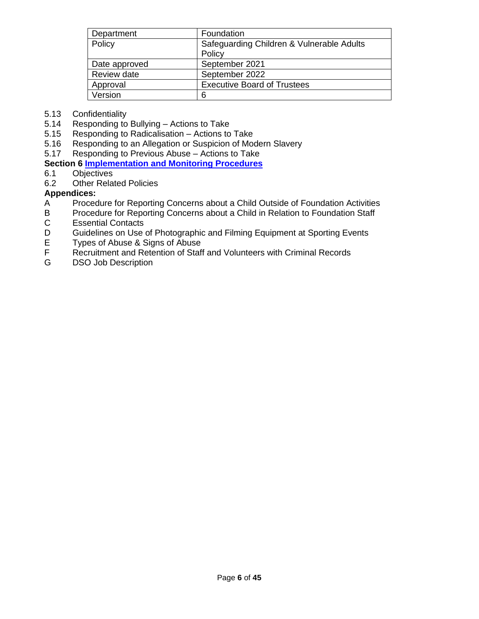| Department    | Foundation                                |
|---------------|-------------------------------------------|
| Policy        | Safeguarding Children & Vulnerable Adults |
|               | Policy                                    |
| Date approved | September 2021                            |
| Review date   | September 2022                            |
| Approval      | <b>Executive Board of Trustees</b>        |
| Version       | 6                                         |

- 5.13 Confidentiality
- 5.14 Responding to Bullying Actions to Take
- 5.15 Responding to Radicalisation Actions to Take
- 5.16 Responding to an Allegation or Suspicion of Modern Slavery
- 5.17 Responding to Previous Abuse Actions to Take

### **Section 6 [Implementation and Monitoring Procedures](#page-23-0)**

- 6.1 Objectives
- 6.2 Other Related Policies

# **Appendices:**

- A Procedure for Reporting Concerns about a Child Outside of Foundation Activities
- B Procedure for Reporting Concerns about a Child in Relation to Foundation Staff<br>C Essential Contacts C Essential Contacts<br>D Guidelines on Use
- D Guidelines on Use of Photographic and Filming Equipment at Sporting Events<br>E Types of Abuse & Signs of Abuse
- E Types of Abuse & Signs of Abuse<br>F Recruitment and Retention of Staff
- Recruitment and Retention of Staff and Volunteers with Criminal Records
- G DSO Job Description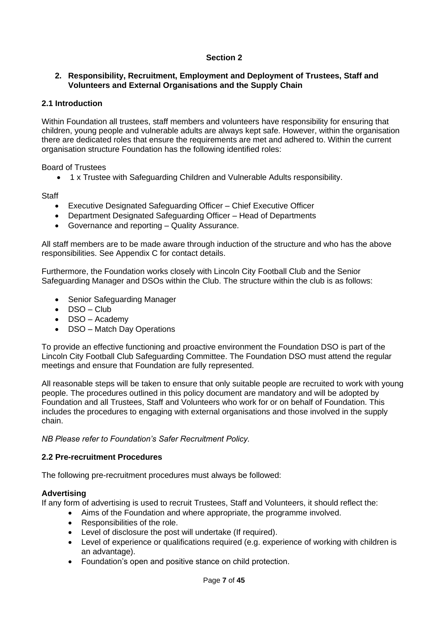# **Section 2**

### <span id="page-6-0"></span>**2. Responsibility, Recruitment, Employment and Deployment of Trustees, Staff and Volunteers and External Organisations and the Supply Chain**

### **2.1 Introduction**

Within Foundation all trustees, staff members and volunteers have responsibility for ensuring that children, young people and vulnerable adults are always kept safe. However, within the organisation there are dedicated roles that ensure the requirements are met and adhered to. Within the current organisation structure Foundation has the following identified roles:

Board of Trustees

• 1 x Trustee with Safeguarding Children and Vulnerable Adults responsibility.

**Staff** 

- Executive Designated Safeguarding Officer Chief Executive Officer
- Department Designated Safeguarding Officer Head of Departments
- Governance and reporting Quality Assurance.

All staff members are to be made aware through induction of the structure and who has the above responsibilities. See Appendix C for contact details.

Furthermore, the Foundation works closely with Lincoln City Football Club and the Senior Safeguarding Manager and DSOs within the Club. The structure within the club is as follows:

- Senior Safeguarding Manager
- DSO Club
- DSO Academy
- DSO Match Day Operations

To provide an effective functioning and proactive environment the Foundation DSO is part of the Lincoln City Football Club Safeguarding Committee. The Foundation DSO must attend the regular meetings and ensure that Foundation are fully represented.

All reasonable steps will be taken to ensure that only suitable people are recruited to work with young people. The procedures outlined in this policy document are mandatory and will be adopted by Foundation and all Trustees, Staff and Volunteers who work for or on behalf of Foundation. This includes the procedures to engaging with external organisations and those involved in the supply chain.

*NB Please refer to Foundation's Safer Recruitment Policy.* 

#### **2.2 Pre-recruitment Procedures**

The following pre-recruitment procedures must always be followed:

#### **Advertising**

If any form of advertising is used to recruit Trustees, Staff and Volunteers, it should reflect the:

- Aims of the Foundation and where appropriate, the programme involved.
- Responsibilities of the role.
- Level of disclosure the post will undertake (If required).
- Level of experience or qualifications required (e.g. experience of working with children is an advantage).
- Foundation's open and positive stance on child protection.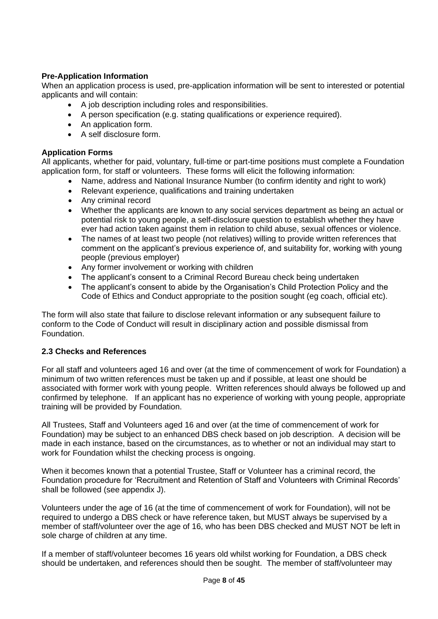# **Pre-Application Information**

When an application process is used, pre-application information will be sent to interested or potential applicants and will contain:

- A job description including roles and responsibilities.
- A person specification (e.g. stating qualifications or experience required).
- An application form.
- A self disclosure form.

#### **Application Forms**

All applicants, whether for paid, voluntary, full-time or part-time positions must complete a Foundation application form, for staff or volunteers. These forms will elicit the following information:

- Name, address and National Insurance Number (to confirm identity and right to work)
- Relevant experience, qualifications and training undertaken
- Any criminal record
- Whether the applicants are known to any social services department as being an actual or potential risk to young people, a self-disclosure question to establish whether they have ever had action taken against them in relation to child abuse, sexual offences or violence.
- The names of at least two people (not relatives) willing to provide written references that comment on the applicant's previous experience of, and suitability for, working with young people (previous employer)
- Any former involvement or working with children
- The applicant's consent to a Criminal Record Bureau check being undertaken
- The applicant's consent to abide by the Organisation's Child Protection Policy and the Code of Ethics and Conduct appropriate to the position sought (eg coach, official etc).

The form will also state that failure to disclose relevant information or any subsequent failure to conform to the Code of Conduct will result in disciplinary action and possible dismissal from Foundation.

#### **2.3 Checks and References**

For all staff and volunteers aged 16 and over (at the time of commencement of work for Foundation) a minimum of two written references must be taken up and if possible, at least one should be associated with former work with young people. Written references should always be followed up and confirmed by telephone. If an applicant has no experience of working with young people, appropriate training will be provided by Foundation.

All Trustees, Staff and Volunteers aged 16 and over (at the time of commencement of work for Foundation) may be subject to an enhanced DBS check based on job description. A decision will be made in each instance, based on the circumstances, as to whether or not an individual may start to work for Foundation whilst the checking process is ongoing.

When it becomes known that a potential Trustee, Staff or Volunteer has a criminal record, the Foundation procedure for 'Recruitment and Retention of Staff and Volunteers with Criminal Records' shall be followed (see appendix J).

Volunteers under the age of 16 (at the time of commencement of work for Foundation), will not be required to undergo a DBS check or have reference taken, but MUST always be supervised by a member of staff/volunteer over the age of 16, who has been DBS checked and MUST NOT be left in sole charge of children at any time.

If a member of staff/volunteer becomes 16 years old whilst working for Foundation, a DBS check should be undertaken, and references should then be sought. The member of staff/volunteer may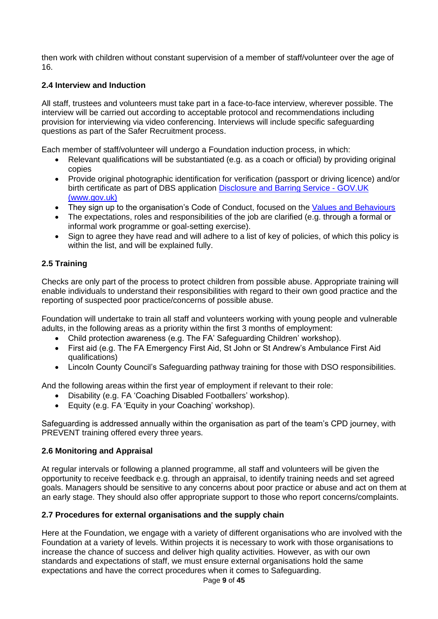then work with children without constant supervision of a member of staff/volunteer over the age of 16.

# **2.4 Interview and Induction**

All staff, trustees and volunteers must take part in a face-to-face interview, wherever possible. The interview will be carried out according to acceptable protocol and recommendations including provision for interviewing via video conferencing. Interviews will include specific safeguarding questions as part of the Safer Recruitment process.

Each member of staff/volunteer will undergo a Foundation induction process, in which:

- Relevant qualifications will be substantiated (e.g. as a coach or official) by providing original copies
- Provide original photographic identification for verification (passport or driving licence) and/or birth certificate as part of DBS application [Disclosure and Barring Service -](https://www.gov.uk/government/organisations/disclosure-and-barring-service) GOV.UK [\(www.gov.uk\)](https://www.gov.uk/government/organisations/disclosure-and-barring-service)
- They sign up to the organisation's Code of Conduct, focused on the [Values and Behaviours](https://www.lincolncityfoundation.com/our-vision)
- The expectations, roles and responsibilities of the job are clarified (e.g. through a formal or informal work programme or goal-setting exercise).
- Sign to agree they have read and will adhere to a list of key of policies, of which this policy is within the list, and will be explained fully.

# **2.5 Training**

Checks are only part of the process to protect children from possible abuse. Appropriate training will enable individuals to understand their responsibilities with regard to their own good practice and the reporting of suspected poor practice/concerns of possible abuse.

Foundation will undertake to train all staff and volunteers working with young people and vulnerable adults, in the following areas as a priority within the first 3 months of employment:

- Child protection awareness (e.g. The FA' Safeguarding Children' workshop).
- First aid (e.g. The FA Emergency First Aid, St John or St Andrew's Ambulance First Aid qualifications)
- Lincoln County Council's Safeguarding pathway training for those with DSO responsibilities.

And the following areas within the first year of employment if relevant to their role:

- Disability (e.g. FA 'Coaching Disabled Footballers' workshop).
- Equity (e.g. FA 'Equity in your Coaching' workshop).

Safeguarding is addressed annually within the organisation as part of the team's CPD journey, with PREVENT training offered every three years.

# **2.6 Monitoring and Appraisal**

At regular intervals or following a planned programme, all staff and volunteers will be given the opportunity to receive feedback e.g. through an appraisal, to identify training needs and set agreed goals. Managers should be sensitive to any concerns about poor practice or abuse and act on them at an early stage. They should also offer appropriate support to those who report concerns/complaints.

# **2.7 Procedures for external organisations and the supply chain**

Here at the Foundation, we engage with a variety of different organisations who are involved with the Foundation at a variety of levels. Within projects it is necessary to work with those organisations to increase the chance of success and deliver high quality activities. However, as with our own standards and expectations of staff, we must ensure external organisations hold the same expectations and have the correct procedures when it comes to Safeguarding.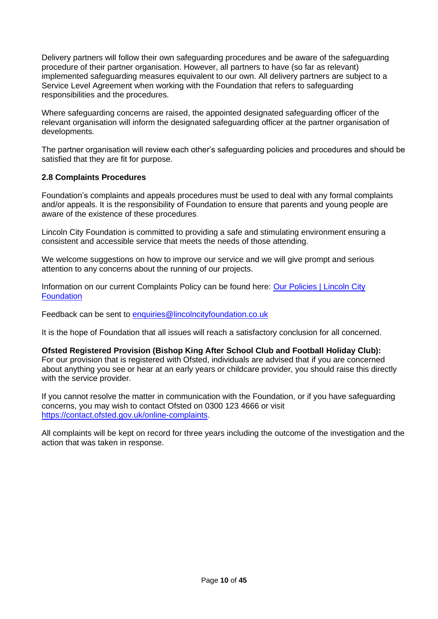Delivery partners will follow their own safeguarding procedures and be aware of the safeguarding procedure of their partner organisation. However, all partners to have (so far as relevant) implemented safeguarding measures equivalent to our own. All delivery partners are subject to a Service Level Agreement when working with the Foundation that refers to safeguarding responsibilities and the procedures.

Where safeguarding concerns are raised, the appointed designated safeguarding officer of the relevant organisation will inform the designated safeguarding officer at the partner organisation of developments.

The partner organisation will review each other's safeguarding policies and procedures and should be satisfied that they are fit for purpose.

### **2.8 Complaints Procedures**

Foundation's complaints and appeals procedures must be used to deal with any formal complaints and/or appeals. It is the responsibility of Foundation to ensure that parents and young people are aware of the existence of these procedures.

Lincoln City Foundation is committed to providing a safe and stimulating environment ensuring a consistent and accessible service that meets the needs of those attending.

We welcome suggestions on how to improve our service and we will give prompt and serious attention to any concerns about the running of our projects.

Information on our current Complaints Policy can be found here: Our Policies | Lincoln City **[Foundation](https://www.lincolncityfoundation.com/our-policies)** 

Feedback can be sent to [enquiries@lincolncityfoundation.co.uk](mailto:enquiries@lincolncityfoundation.co.uk)

It is the hope of Foundation that all issues will reach a satisfactory conclusion for all concerned.

**Ofsted Registered Provision (Bishop King After School Club and Football Holiday Club):** For our provision that is registered with Ofsted, individuals are advised that if you are concerned about anything you see or hear at an early years or childcare provider, you should raise this directly with the service provider.

If you cannot resolve the matter in communication with the Foundation, or if you have safeguarding concerns, you may wish to contact Ofsted on 0300 123 4666 or visit [https://contact.ofsted.gov.uk/online-complaints.](https://contact.ofsted.gov.uk/online-complaints)

All complaints will be kept on record for three years including the outcome of the investigation and the action that was taken in response.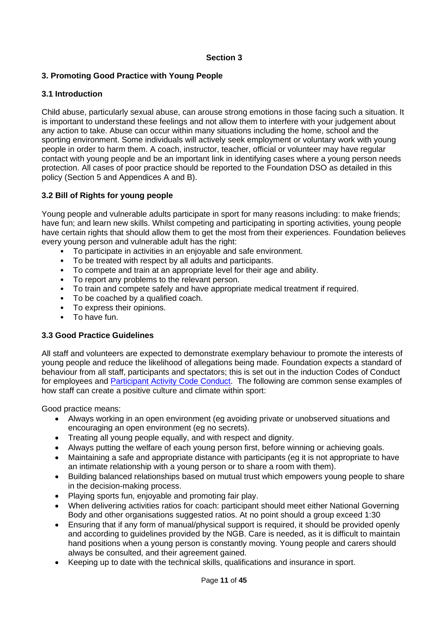### **Section 3**

# <span id="page-10-0"></span>**3. Promoting Good Practice with Young People**

### **3.1 Introduction**

Child abuse, particularly sexual abuse, can arouse strong emotions in those facing such a situation. It is important to understand these feelings and not allow them to interfere with your judgement about any action to take. Abuse can occur within many situations including the home, school and the sporting environment. Some individuals will actively seek employment or voluntary work with young people in order to harm them. A coach, instructor, teacher, official or volunteer may have regular contact with young people and be an important link in identifying cases where a young person needs protection. All cases of poor practice should be reported to the Foundation DSO as detailed in this policy (Section 5 and Appendices A and B).

# **3.2 Bill of Rights for young people**

Young people and vulnerable adults participate in sport for many reasons including: to make friends; have fun; and learn new skills. Whilst competing and participating in sporting activities, young people have certain rights that should allow them to get the most from their experiences. Foundation believes every young person and vulnerable adult has the right:

- To participate in activities in an enjoyable and safe environment.
- To be treated with respect by all adults and participants.
- To compete and train at an appropriate level for their age and ability.
- To report any problems to the relevant person.
- To train and compete safely and have appropriate medical treatment if required.
- To be coached by a qualified coach.
- To express their opinions.
- To have fun.

#### **3.3 Good Practice Guidelines**

All staff and volunteers are expected to demonstrate exemplary behaviour to promote the interests of young people and reduce the likelihood of allegations being made. Foundation expects a standard of behaviour from all staff, participants and spectators; this is set out in the induction Codes of Conduct for employees and [Participant Activity Code Conduct.](https://www.lincolncityfoundation.com/our-policies) The following are common sense examples of how staff can create a positive culture and climate within sport:

Good practice means:

- Always working in an open environment (eg avoiding private or unobserved situations and encouraging an open environment (eg no secrets).
- Treating all young people equally, and with respect and dignity.
- Always putting the welfare of each young person first, before winning or achieving goals.
- Maintaining a safe and appropriate distance with participants (eg it is not appropriate to have an intimate relationship with a young person or to share a room with them).
- Building balanced relationships based on mutual trust which empowers young people to share in the decision-making process.
- Playing sports fun, enjoyable and promoting fair play.
- When delivering activities ratios for coach: participant should meet either National Governing Body and other organisations suggested ratios. At no point should a group exceed 1:30
- Ensuring that if any form of manual/physical support is required, it should be provided openly and according to guidelines provided by the NGB. Care is needed, as it is difficult to maintain hand positions when a young person is constantly moving. Young people and carers should always be consulted, and their agreement gained.
- Keeping up to date with the technical skills, qualifications and insurance in sport.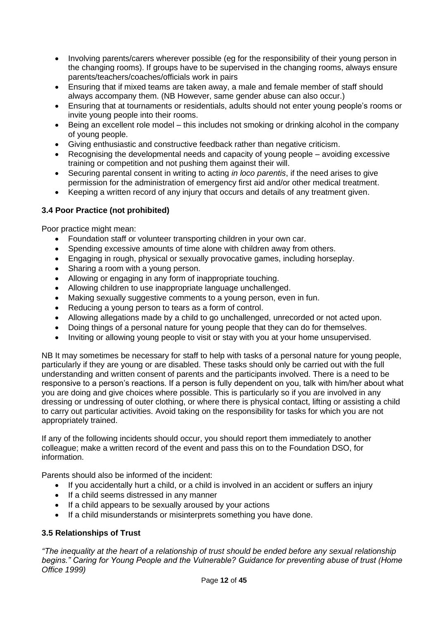- Involving parents/carers wherever possible (eg for the responsibility of their young person in the changing rooms). If groups have to be supervised in the changing rooms, always ensure parents/teachers/coaches/officials work in pairs
- Ensuring that if mixed teams are taken away, a male and female member of staff should always accompany them. (NB However, same gender abuse can also occur.)
- Ensuring that at tournaments or residentials, adults should not enter young people's rooms or invite young people into their rooms.
- Being an excellent role model this includes not smoking or drinking alcohol in the company of young people.
- Giving enthusiastic and constructive feedback rather than negative criticism.
- Recognising the developmental needs and capacity of young people avoiding excessive training or competition and not pushing them against their will.
- Securing parental consent in writing to acting *in loco parentis*, if the need arises to give permission for the administration of emergency first aid and/or other medical treatment.
- Keeping a written record of any injury that occurs and details of any treatment given.

# **3.4 Poor Practice (not prohibited)**

Poor practice might mean:

- Foundation staff or volunteer transporting children in your own car.
- Spending excessive amounts of time alone with children away from others.
- Engaging in rough, physical or sexually provocative games, including horseplay.
- Sharing a room with a young person.
- Allowing or engaging in any form of inappropriate touching.
- Allowing children to use inappropriate language unchallenged.
- Making sexually suggestive comments to a young person, even in fun.
- Reducing a young person to tears as a form of control.
- Allowing allegations made by a child to go unchallenged, unrecorded or not acted upon.
- Doing things of a personal nature for young people that they can do for themselves.
- Inviting or allowing young people to visit or stay with you at your home unsupervised.

NB It may sometimes be necessary for staff to help with tasks of a personal nature for young people, particularly if they are young or are disabled. These tasks should only be carried out with the full understanding and written consent of parents and the participants involved. There is a need to be responsive to a person's reactions. If a person is fully dependent on you, talk with him/her about what you are doing and give choices where possible. This is particularly so if you are involved in any dressing or undressing of outer clothing, or where there is physical contact, lifting or assisting a child to carry out particular activities. Avoid taking on the responsibility for tasks for which you are not appropriately trained.

If any of the following incidents should occur, you should report them immediately to another colleague; make a written record of the event and pass this on to the Foundation DSO, for information.

Parents should also be informed of the incident:

- If you accidentally hurt a child, or a child is involved in an accident or suffers an injury
- If a child seems distressed in any manner
- If a child appears to be sexually aroused by your actions
- If a child misunderstands or misinterprets something you have done.

# **3.5 Relationships of Trust**

*"The inequality at the heart of a relationship of trust should be ended before any sexual relationship begins." Caring for Young People and the Vulnerable? Guidance for preventing abuse of trust (Home Office 1999)*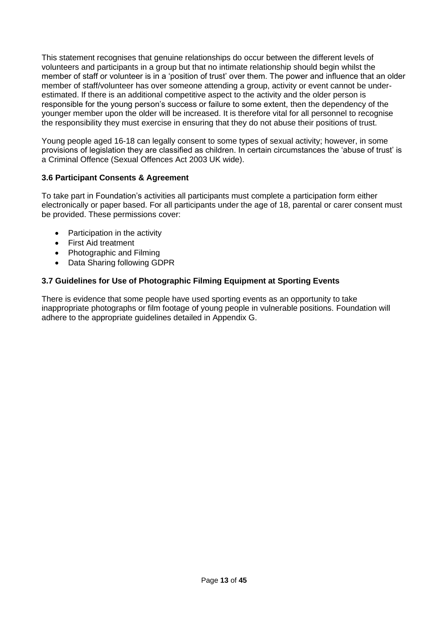This statement recognises that genuine relationships do occur between the different levels of volunteers and participants in a group but that no intimate relationship should begin whilst the member of staff or volunteer is in a 'position of trust' over them. The power and influence that an older member of staff/volunteer has over someone attending a group, activity or event cannot be underestimated. If there is an additional competitive aspect to the activity and the older person is responsible for the young person's success or failure to some extent, then the dependency of the younger member upon the older will be increased. It is therefore vital for all personnel to recognise the responsibility they must exercise in ensuring that they do not abuse their positions of trust.

Young people aged 16-18 can legally consent to some types of sexual activity; however, in some provisions of legislation they are classified as children. In certain circumstances the 'abuse of trust' is a Criminal Offence (Sexual Offences Act 2003 UK wide).

# **3.6 Participant Consents & Agreement**

To take part in Foundation's activities all participants must complete a participation form either electronically or paper based. For all participants under the age of 18, parental or carer consent must be provided. These permissions cover:

- Participation in the activity
- First Aid treatment
- Photographic and Filming
- Data Sharing following GDPR

### **3.7 Guidelines for Use of Photographic Filming Equipment at Sporting Events**

There is evidence that some people have used sporting events as an opportunity to take inappropriate photographs or film footage of young people in vulnerable positions. Foundation will adhere to the appropriate guidelines detailed in Appendix G.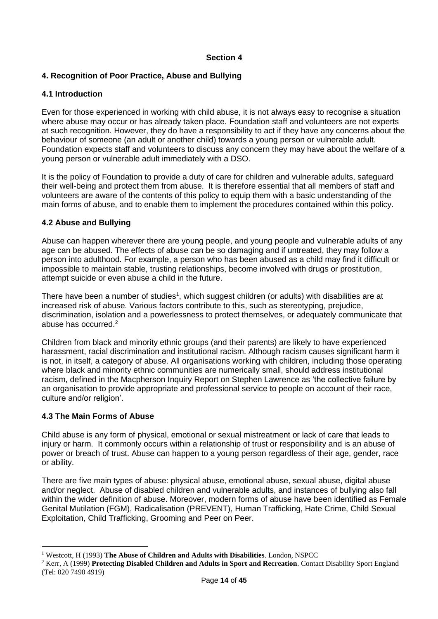### **Section 4**

# <span id="page-13-0"></span>**4. Recognition of Poor Practice, Abuse and Bullying**

### **4.1 Introduction**

Even for those experienced in working with child abuse, it is not always easy to recognise a situation where abuse may occur or has already taken place. Foundation staff and volunteers are not experts at such recognition. However, they do have a responsibility to act if they have any concerns about the behaviour of someone (an adult or another child) towards a young person or vulnerable adult. Foundation expects staff and volunteers to discuss any concern they may have about the welfare of a young person or vulnerable adult immediately with a DSO.

It is the policy of Foundation to provide a duty of care for children and vulnerable adults, safeguard their well-being and protect them from abuse. It is therefore essential that all members of staff and volunteers are aware of the contents of this policy to equip them with a basic understanding of the main forms of abuse, and to enable them to implement the procedures contained within this policy.

### **4.2 Abuse and Bullying**

Abuse can happen wherever there are young people, and young people and vulnerable adults of any age can be abused. The effects of abuse can be so damaging and if untreated, they may follow a person into adulthood. For example, a person who has been abused as a child may find it difficult or impossible to maintain stable, trusting relationships, become involved with drugs or prostitution, attempt suicide or even abuse a child in the future.

There have been a number of studies<sup>1</sup>, which suggest children (or adults) with disabilities are at increased risk of abuse. Various factors contribute to this, such as stereotyping, prejudice, discrimination, isolation and a powerlessness to protect themselves, or adequately communicate that abuse has occurred.<sup>2</sup>

Children from black and minority ethnic groups (and their parents) are likely to have experienced harassment, racial discrimination and institutional racism. Although racism causes significant harm it is not, in itself, a category of abuse. All organisations working with children, including those operating where black and minority ethnic communities are numerically small, should address institutional racism, defined in the Macpherson Inquiry Report on Stephen Lawrence as 'the collective failure by an organisation to provide appropriate and professional service to people on account of their race, culture and/or religion'.

#### **4.3 The Main Forms of Abuse**

Child abuse is any form of physical, emotional or sexual mistreatment or lack of care that leads to injury or harm. It commonly occurs within a relationship of trust or responsibility and is an abuse of power or breach of trust. Abuse can happen to a young person regardless of their age, gender, race or ability.

There are five main types of abuse: physical abuse, emotional abuse, sexual abuse, digital abuse and/or neglect. Abuse of disabled children and vulnerable adults, and instances of bullying also fall within the wider definition of abuse. Moreover, modern forms of abuse have been identified as Female Genital Mutilation (FGM), Radicalisation (PREVENT), Human Trafficking, Hate Crime, Child Sexual Exploitation, Child Trafficking, Grooming and Peer on Peer.

<sup>1</sup> Westcott, H (1993) **The Abuse of Children and Adults with Disabilities**. London, NSPCC

<sup>2</sup> Kerr, A (1999) **Protecting Disabled Children and Adults in Sport and Recreation**. Contact Disability Sport England (Tel: 020 7490 4919)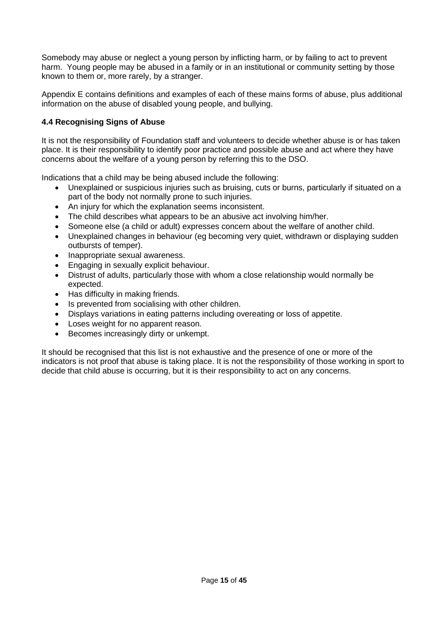Somebody may abuse or neglect a young person by inflicting harm, or by failing to act to prevent harm. Young people may be abused in a family or in an institutional or community setting by those known to them or, more rarely, by a stranger.

Appendix E contains definitions and examples of each of these mains forms of abuse, plus additional information on the abuse of disabled young people, and bullying.

# **4.4 Recognising Signs of Abuse**

It is not the responsibility of Foundation staff and volunteers to decide whether abuse is or has taken place. It is their responsibility to identify poor practice and possible abuse and act where they have concerns about the welfare of a young person by referring this to the DSO.

Indications that a child may be being abused include the following:

- Unexplained or suspicious injuries such as bruising, cuts or burns, particularly if situated on a part of the body not normally prone to such injuries.
- An injury for which the explanation seems inconsistent.
- The child describes what appears to be an abusive act involving him/her.
- Someone else (a child or adult) expresses concern about the welfare of another child.
- Unexplained changes in behaviour (eg becoming very quiet, withdrawn or displaying sudden outbursts of temper).
- Inappropriate sexual awareness.
- Engaging in sexually explicit behaviour.
- Distrust of adults, particularly those with whom a close relationship would normally be expected.
- Has difficulty in making friends.
- Is prevented from socialising with other children.
- Displays variations in eating patterns including overeating or loss of appetite.
- Loses weight for no apparent reason.
- Becomes increasingly dirty or unkempt.

It should be recognised that this list is not exhaustive and the presence of one or more of the indicators is not proof that abuse is taking place. It is not the responsibility of those working in sport to decide that child abuse is occurring, but it is their responsibility to act on any concerns.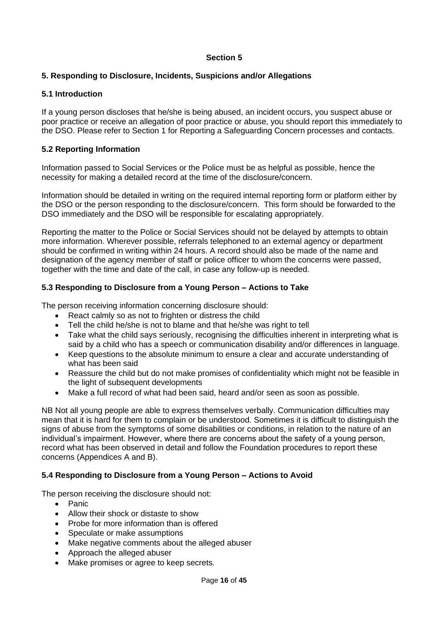### **Section 5**

## <span id="page-15-0"></span>**5. Responding to Disclosure, Incidents, Suspicions and/or Allegations**

### **5.1 Introduction**

If a young person discloses that he/she is being abused, an incident occurs, you suspect abuse or poor practice or receive an allegation of poor practice or abuse, you should report this immediately to the DSO. Please refer to Section 1 for Reporting a Safeguarding Concern processes and contacts.

# **5.2 Reporting Information**

Information passed to Social Services or the Police must be as helpful as possible, hence the necessity for making a detailed record at the time of the disclosure/concern.

Information should be detailed in writing on the required internal reporting form or platform either by the DSO or the person responding to the disclosure/concern. This form should be forwarded to the DSO immediately and the DSO will be responsible for escalating appropriately.

Reporting the matter to the Police or Social Services should not be delayed by attempts to obtain more information. Wherever possible, referrals telephoned to an external agency or department should be confirmed in writing within 24 hours. A record should also be made of the name and designation of the agency member of staff or police officer to whom the concerns were passed, together with the time and date of the call, in case any follow-up is needed.

#### **5.3 Responding to Disclosure from a Young Person – Actions to Take**

The person receiving information concerning disclosure should:

- React calmly so as not to frighten or distress the child
- Tell the child he/she is not to blame and that he/she was right to tell
- Take what the child says seriously, recognising the difficulties inherent in interpreting what is said by a child who has a speech or communication disability and/or differences in language.
- Keep questions to the absolute minimum to ensure a clear and accurate understanding of what has been said
- Reassure the child but do not make promises of confidentiality which might not be feasible in the light of subsequent developments
- Make a full record of what had been said, heard and/or seen as soon as possible.

NB Not all young people are able to express themselves verbally. Communication difficulties may mean that it is hard for them to complain or be understood. Sometimes it is difficult to distinguish the signs of abuse from the symptoms of some disabilities or conditions, in relation to the nature of an individual's impairment. However, where there are concerns about the safety of a young person, record what has been observed in detail and follow the Foundation procedures to report these concerns (Appendices A and B).

# **5.4 Responding to Disclosure from a Young Person – Actions to Avoid**

The person receiving the disclosure should not:

- Panic
- Allow their shock or distaste to show
- Probe for more information than is offered
- Speculate or make assumptions
- Make negative comments about the alleged abuser
- Approach the alleged abuser
- Make promises or agree to keep secrets.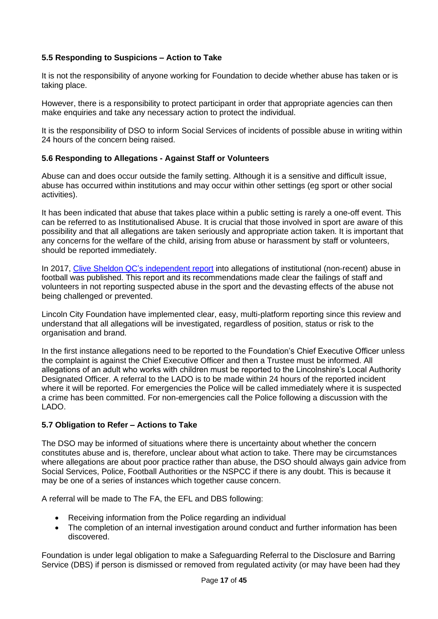# **5.5 Responding to Suspicions – Action to Take**

It is not the responsibility of anyone working for Foundation to decide whether abuse has taken or is taking place.

However, there is a responsibility to protect participant in order that appropriate agencies can then make enquiries and take any necessary action to protect the individual.

It is the responsibility of DSO to inform Social Services of incidents of possible abuse in writing within 24 hours of the concern being raised.

#### **5.6 Responding to Allegations - Against Staff or Volunteers**

Abuse can and does occur outside the family setting. Although it is a sensitive and difficult issue, abuse has occurred within institutions and may occur within other settings (eg sport or other social activities).

It has been indicated that abuse that takes place within a public setting is rarely a one-off event. This can be referred to as Institutionalised Abuse. It is crucial that those involved in sport are aware of this possibility and that all allegations are taken seriously and appropriate action taken. It is important that any concerns for the welfare of the child, arising from abuse or harassment by staff or volunteers, should be reported immediately.

In 2017, [Clive Sheldon QC's independent report](https://www.thefa.com/news/2021/mar/17/clive-sheldon-qc-independent-commission-report-released-20210317) into allegations of institutional (non-recent) abuse in football was published. This report and its recommendations made clear the failings of staff and volunteers in not reporting suspected abuse in the sport and the devasting effects of the abuse not being challenged or prevented.

Lincoln City Foundation have implemented clear, easy, multi-platform reporting since this review and understand that all allegations will be investigated, regardless of position, status or risk to the organisation and brand.

In the first instance allegations need to be reported to the Foundation's Chief Executive Officer unless the complaint is against the Chief Executive Officer and then a Trustee must be informed. All allegations of an adult who works with children must be reported to the Lincolnshire's Local Authority Designated Officer. A referral to the LADO is to be made within 24 hours of the reported incident where it will be reported. For emergencies the Police will be called immediately where it is suspected a crime has been committed. For non-emergencies call the Police following a discussion with the LADO.

#### **5.7 Obligation to Refer – Actions to Take**

The DSO may be informed of situations where there is uncertainty about whether the concern constitutes abuse and is, therefore, unclear about what action to take. There may be circumstances where allegations are about poor practice rather than abuse, the DSO should always gain advice from Social Services, Police, Football Authorities or the NSPCC if there is any doubt. This is because it may be one of a series of instances which together cause concern.

A referral will be made to The FA, the EFL and DBS following:

- Receiving information from the Police regarding an individual
- The completion of an internal investigation around conduct and further information has been discovered.

Foundation is under legal obligation to make a Safeguarding Referral to the Disclosure and Barring Service (DBS) if person is dismissed or removed from regulated activity (or may have been had they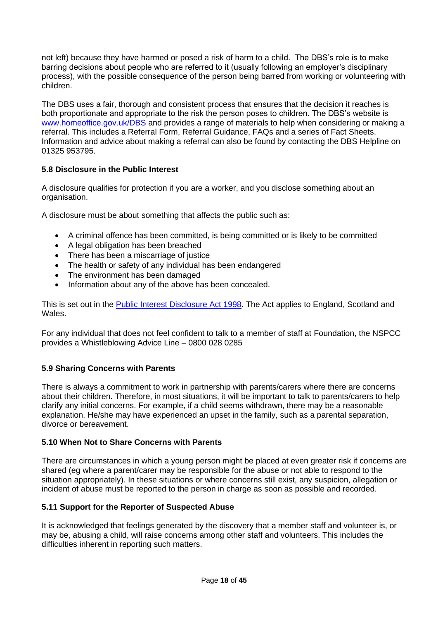not left) because they have harmed or posed a risk of harm to a child. The DBS's role is to make barring decisions about people who are referred to it (usually following an employer's disciplinary process), with the possible consequence of the person being barred from working or volunteering with children.

The DBS uses a fair, thorough and consistent process that ensures that the decision it reaches is both proportionate and appropriate to the risk the person poses to children. The DBS's website is [www.homeoffice.gov.uk/DBS](http://www.homeoffice.gov.uk/DBS) and provides a range of materials to help when considering or making a referral. This includes a Referral Form, Referral Guidance, FAQs and a series of Fact Sheets. Information and advice about making a referral can also be found by contacting the DBS Helpline on 01325 953795.

# **5.8 Disclosure in the Public Interest**

A disclosure qualifies for protection if you are a worker, and you disclose something about an organisation.

A disclosure must be about something that affects the public such as:

- A criminal offence has been committed, is being committed or is likely to be committed
- A legal obligation has been breached
- There has been a miscarriage of justice
- The health or safety of any individual has been endangered
- The environment has been damaged
- Information about any of the above has been concealed.

This is set out in the [Public Interest Disclosure Act 1998.](https://www.legislation.gov.uk/ukpga/1998/23/contents) The Act applies to England, Scotland and Wales.

For any individual that does not feel confident to talk to a member of staff at Foundation, the NSPCC provides a Whistleblowing Advice Line – 0800 028 0285

#### **5.9 Sharing Concerns with Parents**

There is always a commitment to work in partnership with parents/carers where there are concerns about their children. Therefore, in most situations, it will be important to talk to parents/carers to help clarify any initial concerns. For example, if a child seems withdrawn, there may be a reasonable explanation. He/she may have experienced an upset in the family, such as a parental separation, divorce or bereavement.

#### **5.10 When Not to Share Concerns with Parents**

There are circumstances in which a young person might be placed at even greater risk if concerns are shared (eg where a parent/carer may be responsible for the abuse or not able to respond to the situation appropriately). In these situations or where concerns still exist, any suspicion, allegation or incident of abuse must be reported to the person in charge as soon as possible and recorded.

#### **5.11 Support for the Reporter of Suspected Abuse**

It is acknowledged that feelings generated by the discovery that a member staff and volunteer is, or may be, abusing a child, will raise concerns among other staff and volunteers. This includes the difficulties inherent in reporting such matters.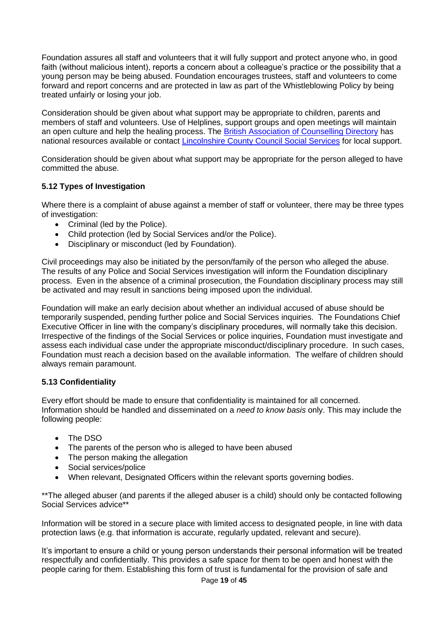Foundation assures all staff and volunteers that it will fully support and protect anyone who, in good faith (without malicious intent), reports a concern about a colleague's practice or the possibility that a young person may be being abused. Foundation encourages trustees, staff and volunteers to come forward and report concerns and are protected in law as part of the Whistleblowing Policy by being treated unfairly or losing your job.

Consideration should be given about what support may be appropriate to children, parents and members of staff and volunteers. Use of Helplines, support groups and open meetings will maintain an open culture and help the healing process. The [British Association of Counselling Directory](https://www.bacp.co.uk/) has national resources available or contact [Lincolnshire County Council Social Services](https://www.lincolnshire.gov.uk/safeguarding) for local support.

Consideration should be given about what support may be appropriate for the person alleged to have committed the abuse.

# **5.12 Types of Investigation**

Where there is a complaint of abuse against a member of staff or volunteer, there may be three types of investigation:

- Criminal (led by the Police).
- Child protection (led by Social Services and/or the Police).
- Disciplinary or misconduct (led by Foundation).

Civil proceedings may also be initiated by the person/family of the person who alleged the abuse. The results of any Police and Social Services investigation will inform the Foundation disciplinary process. Even in the absence of a criminal prosecution, the Foundation disciplinary process may still be activated and may result in sanctions being imposed upon the individual.

Foundation will make an early decision about whether an individual accused of abuse should be temporarily suspended, pending further police and Social Services inquiries. The Foundations Chief Executive Officer in line with the company's disciplinary procedures, will normally take this decision. Irrespective of the findings of the Social Services or police inquiries, Foundation must investigate and assess each individual case under the appropriate misconduct/disciplinary procedure. In such cases, Foundation must reach a decision based on the available information. The welfare of children should always remain paramount.

#### **5.13 Confidentiality**

Every effort should be made to ensure that confidentiality is maintained for all concerned. Information should be handled and disseminated on a *need to know basis* only. This may include the following people:

- The DSO
- The parents of the person who is alleged to have been abused
- The person making the allegation
- Social services/police
- When relevant, Designated Officers within the relevant sports governing bodies.

\*\*The alleged abuser (and parents if the alleged abuser is a child) should only be contacted following Social Services advice\*\*

Information will be stored in a secure place with limited access to designated people, in line with data protection laws (e.g. that information is accurate, regularly updated, relevant and secure).

It's important to ensure a child or young person understands their personal information will be treated respectfully and confidentially. This provides a safe space for them to be open and honest with the people caring for them. Establishing this form of trust is fundamental for the provision of safe and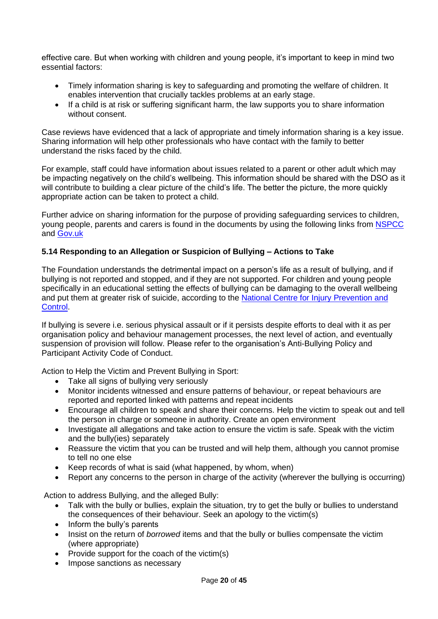effective care. But when working with children and young people, it's important to keep in mind two essential factors:

- Timely information sharing is key to safeguarding and promoting the welfare of children. It enables intervention that crucially tackles problems at an early stage.
- If a child is at risk or suffering significant harm, the law supports you to share information without consent.

Case reviews have evidenced that a lack of appropriate and timely information sharing is a key issue. Sharing information will help other professionals who have contact with the family to better understand the risks faced by the child.

For example, staff could have information about issues related to a parent or other adult which may be impacting negatively on the child's wellbeing. This information should be shared with the DSO as it will contribute to building a clear picture of the child's life. The better the picture, the more quickly appropriate action can be taken to protect a child.

Further advice on sharing information for the purpose of providing safeguarding services to children, young people, parents and carers is found in the documents by using the following links from [NSPCC](https://www.nspcc.org.uk/globalassets/documents/information-service/information-sharingconfidentiality-practitioners.pdf) and [Gov.uk](https://www.gov.uk/government/uploads/system/uploads/attachment_data/file/419628/Informati%20on_sharing_advice_safeguarding_practitioners.pdf)

### **5.14 Responding to an Allegation or Suspicion of Bullying – Actions to Take**

The Foundation understands the detrimental impact on a person's life as a result of bullying, and if bullying is not reported and stopped, and if they are not supported. For children and young people specifically in an educational setting the effects of bullying can be damaging to the overall wellbeing and put them at greater risk of suicide, according to the National Centre for Injury Prevention and [Control.](https://www.cdc.gov/violenceprevention/pdf/bullying-suicide-translation-final-a.pdf)

If bullying is severe i.e. serious physical assault or if it persists despite efforts to deal with it as per organisation policy and behaviour management processes, the next level of action, and eventually suspension of provision will follow. Please refer to the organisation's Anti-Bullying Policy and Participant Activity Code of Conduct.

Action to Help the Victim and Prevent Bullying in Sport:

- Take all signs of bullying very seriously
- Monitor incidents witnessed and ensure patterns of behaviour, or repeat behaviours are reported and reported linked with patterns and repeat incidents
- Encourage all children to speak and share their concerns. Help the victim to speak out and tell the person in charge or someone in authority. Create an open environment
- Investigate all allegations and take action to ensure the victim is safe. Speak with the victim and the bully(ies) separately
- Reassure the victim that you can be trusted and will help them, although you cannot promise to tell no one else
- Keep records of what is said (what happened, by whom, when)
- Report any concerns to the person in charge of the activity (wherever the bullying is occurring)

Action to address Bullying, and the alleged Bully:

- Talk with the bully or bullies, explain the situation, try to get the bully or bullies to understand the consequences of their behaviour. Seek an apology to the victim(s)
- Inform the bully's parents
- Insist on the return of *borrowed* items and that the bully or bullies compensate the victim (where appropriate)
- Provide support for the coach of the victim(s)
- Impose sanctions as necessary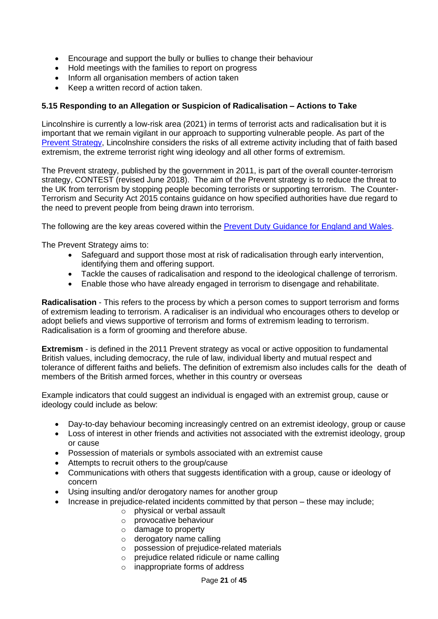- Encourage and support the bully or bullies to change their behaviour
- Hold meetings with the families to report on progress
- Inform all organisation members of action taken
- Keep a written record of action taken.

### **5.15 Responding to an Allegation or Suspicion of Radicalisation – Actions to Take**

Lincolnshire is currently a low-risk area (2021) in terms of terrorist acts and radicalisation but it is important that we remain vigilant in our approach to supporting vulnerable people. As part of the [Prevent Strategy,](https://www.lincolnshire.gov.uk/crime-prevention/preventing-extremism) Lincolnshire considers the risks of all extreme activity including that of faith based extremism, the extreme terrorist right wing ideology and all other forms of extremism.

The Prevent strategy, published by the government in 2011, is part of the overall counter-terrorism strategy, CONTEST (revised June 2018). The aim of the Prevent strategy is to reduce the threat to the UK from terrorism by stopping people becoming terrorists or supporting terrorism. The Counter-Terrorism and Security Act 2015 contains guidance on how specified authorities have due regard to the need to prevent people from being drawn into terrorism.

The following are the key areas covered within the [Prevent Duty Guidance for England and Wales.](https://www.gov.uk/government/publications/prevent-duty-guidance)

The Prevent Strategy aims to:

- Safeguard and support those most at risk of radicalisation through early intervention, identifying them and offering support.
- Tackle the causes of radicalisation and respond to the ideological challenge of terrorism.
- Enable those who have already engaged in terrorism to disengage and rehabilitate.

**Radicalisation** - This refers to the process by which a person comes to support terrorism and forms of extremism leading to terrorism. A radicaliser is an individual who encourages others to develop or adopt beliefs and views supportive of terrorism and forms of extremism leading to terrorism. Radicalisation is a form of grooming and therefore abuse.

**Extremism** - is defined in the 2011 Prevent strategy as vocal or active opposition to fundamental British values, including democracy, the rule of law, individual liberty and mutual respect and tolerance of different faiths and beliefs. The definition of extremism also includes calls for the death of members of the British armed forces, whether in this country or overseas

Example indicators that could suggest an individual is engaged with an extremist group, cause or ideology could include as below:

- Day-to-day behaviour becoming increasingly centred on an extremist ideology, group or cause
- Loss of interest in other friends and activities not associated with the extremist ideology, group or cause
- Possession of materials or symbols associated with an extremist cause
- Attempts to recruit others to the group/cause
- Communications with others that suggests identification with a group, cause or ideology of concern
- Using insulting and/or derogatory names for another group
	- Increase in prejudice-related incidents committed by that person these may include;
		- $\circ$  physical or verbal assault
		- o provocative behaviour
		- o damage to property
		- o derogatory name calling
		- o possession of prejudice-related materials
		- o prejudice related ridicule or name calling
		- o inappropriate forms of address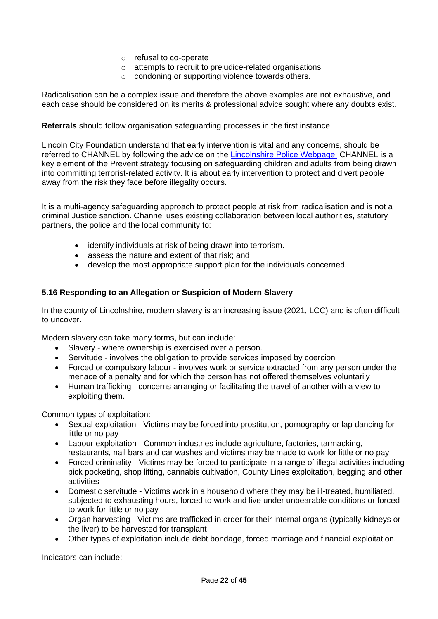- o refusal to co-operate
- o attempts to recruit to prejudice-related organisations
- o condoning or supporting violence towards others.

Radicalisation can be a complex issue and therefore the above examples are not exhaustive, and each case should be considered on its merits & professional advice sought where any doubts exist.

**Referrals** should follow organisation safeguarding processes in the first instance.

Lincoln City Foundation understand that early intervention is vital and any concerns, should be referred to CHANNEL by following the advice on the [Lincolnshire Police Webpage](https://www.lincs.police.uk/reporting-advice/terrorism/preventing-extremism/) CHANNEL is a key element of the Prevent strategy focusing on safeguarding children and adults from being drawn into committing terrorist-related activity. It is about early intervention to protect and divert people away from the risk they face before illegality occurs.

It is a multi-agency safeguarding approach to protect people at risk from radicalisation and is not a criminal Justice sanction. Channel uses existing collaboration between local authorities, statutory partners, the police and the local community to:

- identify individuals at risk of being drawn into terrorism.
- assess the nature and extent of that risk; and
- develop the most appropriate support plan for the individuals concerned.

#### **5.16 Responding to an Allegation or Suspicion of Modern Slavery**

In the county of Lincolnshire, modern slavery is an increasing issue (2021, LCC) and is often difficult to uncover.

Modern slavery can take many forms, but can include:

- Slavery where ownership is exercised over a person.
- Servitude involves the obligation to provide services imposed by coercion
- Forced or compulsory labour involves work or service extracted from any person under the menace of a penalty and for which the person has not offered themselves voluntarily
- Human trafficking concerns arranging or facilitating the travel of another with a view to exploiting them.

Common types of exploitation:

- Sexual exploitation Victims may be forced into prostitution, pornography or lap dancing for little or no pay
- Labour exploitation Common industries include agriculture, factories, tarmacking, restaurants, nail bars and car washes and victims may be made to work for little or no pay
- Forced criminality Victims may be forced to participate in a range of illegal activities including pick pocketing, shop lifting, cannabis cultivation, County Lines exploitation, begging and other activities
- Domestic servitude Victims work in a household where they may be ill-treated, humiliated, subjected to exhausting hours, forced to work and live under unbearable conditions or forced to work for little or no pay
- Organ harvesting Victims are trafficked in order for their internal organs (typically kidneys or the liver) to be harvested for transplant
- Other types of exploitation include debt bondage, forced marriage and financial exploitation.

Indicators can include: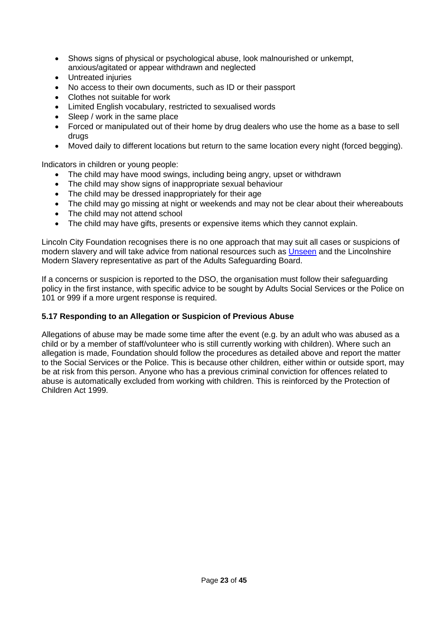- Shows signs of physical or psychological abuse, look malnourished or unkempt, anxious/agitated or appear withdrawn and neglected
- Untreated injuries
- No access to their own documents, such as ID or their passport
- Clothes not suitable for work
- Limited English vocabulary, restricted to sexualised words
- Sleep / work in the same place
- Forced or manipulated out of their home by drug dealers who use the home as a base to sell drugs
- Moved daily to different locations but return to the same location every night (forced begging).

Indicators in children or young people:

- The child may have mood swings, including being angry, upset or withdrawn
- The child may show signs of inappropriate sexual behaviour
- The child may be dressed inappropriately for their age
- The child may go missing at night or weekends and may not be clear about their whereabouts
- The child may not attend school
- The child may have gifts, presents or expensive items which they cannot explain.

Lincoln City Foundation recognises there is no one approach that may suit all cases or suspicions of modern slavery and will take advice from national resources such as [Unseen](https://www.unseenuk.org/) and the Lincolnshire Modern Slavery representative as part of the Adults Safeguarding Board.

If a concerns or suspicion is reported to the DSO, the organisation must follow their safeguarding policy in the first instance, with specific advice to be sought by Adults Social Services or the Police on 101 or 999 if a more urgent response is required.

#### **5.17 Responding to an Allegation or Suspicion of Previous Abuse**

Allegations of abuse may be made some time after the event (e.g. by an adult who was abused as a child or by a member of staff/volunteer who is still currently working with children). Where such an allegation is made, Foundation should follow the procedures as detailed above and report the matter to the Social Services or the Police. This is because other children, either within or outside sport, may be at risk from this person. Anyone who has a previous criminal conviction for offences related to abuse is automatically excluded from working with children. This is reinforced by the Protection of Children Act 1999.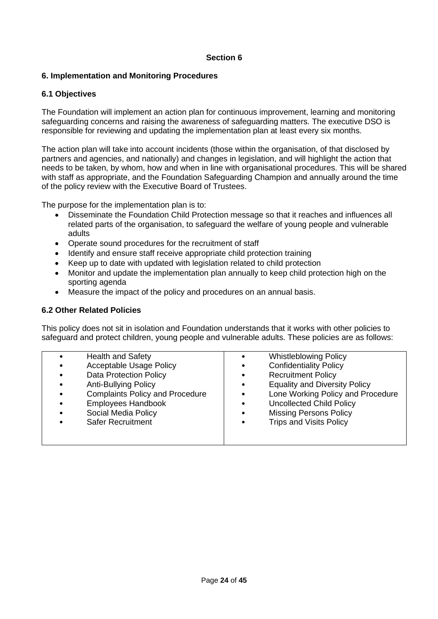### **Section 6**

### <span id="page-23-0"></span>**6. Implementation and Monitoring Procedures**

### **6.1 Objectives**

The Foundation will implement an action plan for continuous improvement, learning and monitoring safeguarding concerns and raising the awareness of safeguarding matters. The executive DSO is responsible for reviewing and updating the implementation plan at least every six months.

The action plan will take into account incidents (those within the organisation, of that disclosed by partners and agencies, and nationally) and changes in legislation, and will highlight the action that needs to be taken, by whom, how and when in line with organisational procedures. This will be shared with staff as appropriate, and the Foundation Safeguarding Champion and annually around the time of the policy review with the Executive Board of Trustees.

The purpose for the implementation plan is to:

- Disseminate the Foundation Child Protection message so that it reaches and influences all related parts of the organisation, to safeguard the welfare of young people and vulnerable adults
- Operate sound procedures for the recruitment of staff
- Identify and ensure staff receive appropriate child protection training
- Keep up to date with updated with legislation related to child protection
- Monitor and update the implementation plan annually to keep child protection high on the sporting agenda
- Measure the impact of the policy and procedures on an annual basis.

### **6.2 Other Related Policies**

This policy does not sit in isolation and Foundation understands that it works with other policies to safeguard and protect children, young people and vulnerable adults. These policies are as follows:

| $\bullet$ | <b>Health and Safety</b>               |           | <b>Whistleblowing Policy</b>         |
|-----------|----------------------------------------|-----------|--------------------------------------|
| $\bullet$ | <b>Acceptable Usage Policy</b>         | $\bullet$ | <b>Confidentiality Policy</b>        |
| $\bullet$ | <b>Data Protection Policy</b>          | $\bullet$ | <b>Recruitment Policy</b>            |
| $\bullet$ | <b>Anti-Bullying Policy</b>            |           | <b>Equality and Diversity Policy</b> |
| $\bullet$ | <b>Complaints Policy and Procedure</b> | $\bullet$ | Lone Working Policy and Procedure    |
| $\bullet$ | <b>Employees Handbook</b>              |           | <b>Uncollected Child Policy</b>      |
| $\bullet$ | Social Media Policy                    |           | <b>Missing Persons Policy</b>        |
| $\bullet$ | <b>Safer Recruitment</b>               |           | <b>Trips and Visits Policy</b>       |
|           |                                        |           |                                      |
|           |                                        |           |                                      |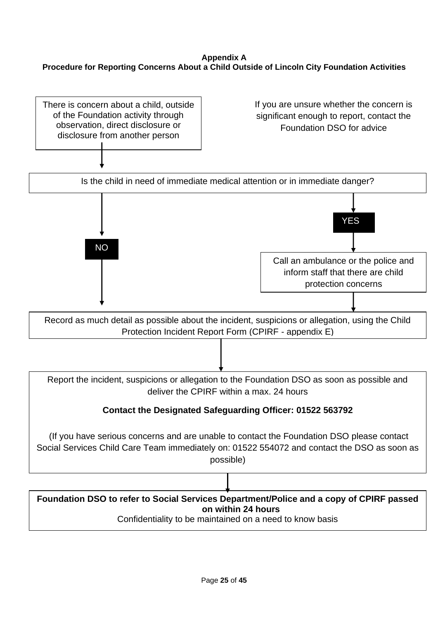# **Appendix A Procedure for Reporting Concerns About a Child Outside of Lincoln City Foundation Activities**

There is concern about a child, outside of the Foundation activity through observation, direct disclosure or disclosure from another person

If you are unsure whether the concern is significant enough to report, contact the Foundation DSO for advice

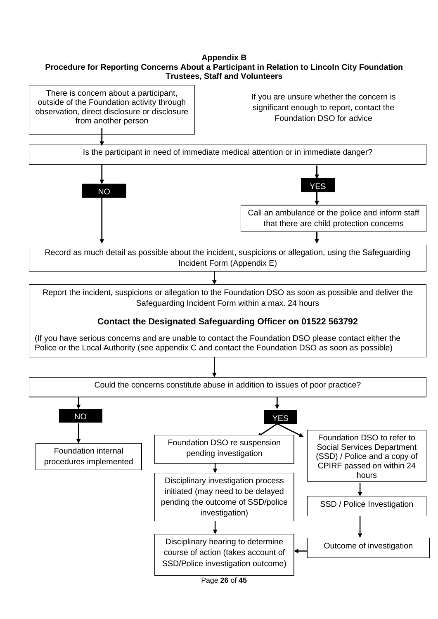# **Appendix B Procedure for Reporting Concerns About a Participant in Relation to Lincoln City Foundation Trustees, Staff and Volunteers**



Page **26** of **45**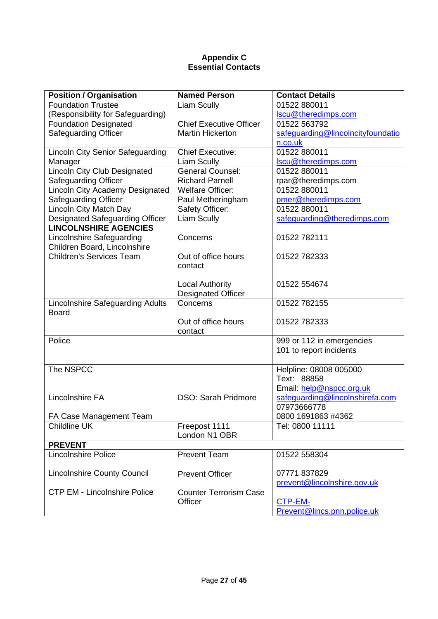## **Appendix C Essential Contacts**

| <b>Position / Organisation</b>          | <b>Named Person</b>            | <b>Contact Details</b>                               |
|-----------------------------------------|--------------------------------|------------------------------------------------------|
| <b>Foundation Trustee</b>               | Liam Scully                    | 01522 880011                                         |
| (Responsibility for Safeguarding)       |                                | Iscu@theredimps.com                                  |
| <b>Foundation Designated</b>            | <b>Chief Executive Officer</b> | 01522 563792                                         |
| <b>Safeguarding Officer</b>             | <b>Martin Hickerton</b>        | safeguarding@lincolncityfoundatio                    |
|                                         |                                | n.co.uk                                              |
| <b>Lincoln City Senior Safeguarding</b> | <b>Chief Executive:</b>        | 01522 880011                                         |
| Manager                                 | Liam Scully                    | Iscu@theredimps.com                                  |
| <b>Lincoln City Club Designated</b>     | <b>General Counsel:</b>        | 01522 880011                                         |
| <b>Safeguarding Officer</b>             | <b>Richard Parnell</b>         | rpar@theredimps.com                                  |
| Lincoln City Academy Designated         | <b>Welfare Officer:</b>        | 01522 880011                                         |
| <b>Safeguarding Officer</b>             | Paul Metheringham              | pmer@theredimps.com                                  |
| Lincoln City Match Day                  | Safety Officer:                | 01522 880011                                         |
| Designated Safeguarding Officer         | Liam Scully                    | safeguarding@theredimps.com                          |
| <b>LINCOLNSHIRE AGENCIES</b>            |                                |                                                      |
| Lincolnshire Safeguarding               | Concerns                       | 01522 782111                                         |
| Children Board, Lincolnshire            |                                |                                                      |
| <b>Children's Services Team</b>         | Out of office hours            | 01522 782333                                         |
|                                         | contact                        |                                                      |
|                                         |                                |                                                      |
|                                         | <b>Local Authority</b>         | 01522 554674                                         |
|                                         | <b>Designated Officer</b>      |                                                      |
| <b>Lincolnshire Safeguarding Adults</b> | Concerns                       | 01522 782155                                         |
| <b>Board</b>                            |                                |                                                      |
|                                         | Out of office hours            | 01522782333                                          |
| Police                                  | contact                        |                                                      |
|                                         |                                | 999 or 112 in emergencies<br>101 to report incidents |
|                                         |                                |                                                      |
| The NSPCC                               |                                | Helpline: 08008 005000                               |
|                                         |                                | Text: 88858                                          |
|                                         |                                | Email: help@nspcc.org.uk                             |
| <b>Lincolnshire FA</b>                  | <b>DSO: Sarah Pridmore</b>     | safequarding@lincolnshirefa.com                      |
|                                         |                                | 07973666778                                          |
| FA Case Management Team                 |                                | 0800 1691863 #4362                                   |
| Childline UK                            | Freepost 1111                  | Tel: 0800 11111                                      |
|                                         | London N1 OBR                  |                                                      |
| <b>PREVENT</b>                          |                                |                                                      |
| <b>Lincolnshire Police</b>              | <b>Prevent Team</b>            | 01522 558304                                         |
|                                         |                                |                                                      |
| <b>Lincolnshire County Council</b>      | <b>Prevent Officer</b>         | 07771837829                                          |
|                                         |                                | prevent@lincolnshire.gov.uk                          |
| <b>CTP EM - Lincolnshire Police</b>     | <b>Counter Terrorism Case</b>  |                                                      |
|                                         | Officer                        | CTP-EM-                                              |
|                                         |                                | Prevent@lincs.pnn.police.uk                          |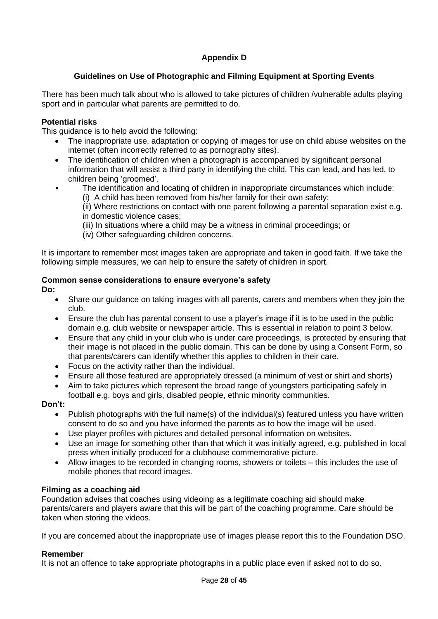# **Appendix D**

# **Guidelines on Use of Photographic and Filming Equipment at Sporting Events**

There has been much talk about who is allowed to take pictures of children /vulnerable adults playing sport and in particular what parents are permitted to do.

# **Potential risks**

This guidance is to help avoid the following:

- The inappropriate use, adaptation or copying of images for use on child abuse websites on the internet (often incorrectly referred to as pornography sites).
- The identification of children when a photograph is accompanied by significant personal information that will assist a third party in identifying the child. This can lead, and has led, to children being 'groomed'.
	- The identification and locating of children in inappropriate circumstances which include: (i) A child has been removed from his/her family for their own safety;

(ii) Where restrictions on contact with one parent following a parental separation exist e.g. in domestic violence cases;

- (iii) In situations where a child may be a witness in criminal proceedings; or
- (iv) Other safeguarding children concerns.

It is important to remember most images taken are appropriate and taken in good faith. If we take the following simple measures, we can help to ensure the safety of children in sport.

# **Common sense considerations to ensure everyone's safety**

**Do:**

- Share our guidance on taking images with all parents, carers and members when they join the club.
- Ensure the club has parental consent to use a player's image if it is to be used in the public domain e.g. club website or newspaper article. This is essential in relation to point 3 below.
- Ensure that any child in your club who is under care proceedings, is protected by ensuring that their image is not placed in the public domain. This can be done by using a Consent Form, so that parents/carers can identify whether this applies to children in their care.
- Focus on the activity rather than the individual.
- Ensure all those featured are appropriately dressed (a minimum of vest or shirt and shorts)
- Aim to take pictures which represent the broad range of youngsters participating safely in football e.g. boys and girls, disabled people, ethnic minority communities.

#### **Don't:**

- Publish photographs with the full name(s) of the individual(s) featured unless you have written consent to do so and you have informed the parents as to how the image will be used.
- Use player profiles with pictures and detailed personal information on websites.
- Use an image for something other than that which it was initially agreed, e.g. published in local press when initially produced for a clubhouse commemorative picture.
- Allow images to be recorded in changing rooms, showers or toilets this includes the use of mobile phones that record images.

#### **Filming as a coaching aid**

Foundation advises that coaches using videoing as a legitimate coaching aid should make parents/carers and players aware that this will be part of the coaching programme. Care should be taken when storing the videos.

If you are concerned about the inappropriate use of images please report this to the Foundation DSO.

#### **Remember**

It is not an offence to take appropriate photographs in a public place even if asked not to do so.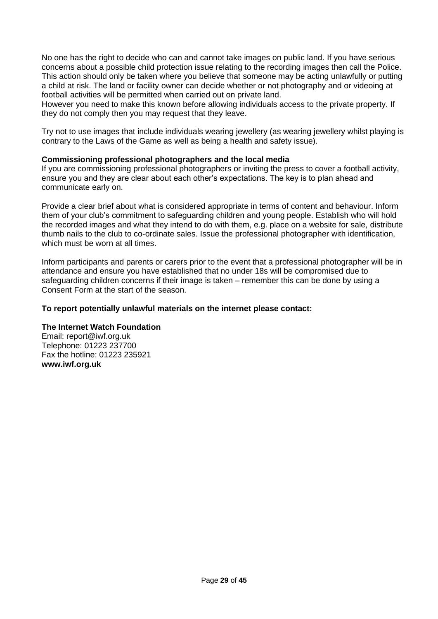No one has the right to decide who can and cannot take images on public land. If you have serious concerns about a possible child protection issue relating to the recording images then call the Police. This action should only be taken where you believe that someone may be acting unlawfully or putting a child at risk. The land or facility owner can decide whether or not photography and or videoing at football activities will be permitted when carried out on private land.

However you need to make this known before allowing individuals access to the private property. If they do not comply then you may request that they leave.

Try not to use images that include individuals wearing jewellery (as wearing jewellery whilst playing is contrary to the Laws of the Game as well as being a health and safety issue).

#### **Commissioning professional photographers and the local media**

If you are commissioning professional photographers or inviting the press to cover a football activity, ensure you and they are clear about each other's expectations. The key is to plan ahead and communicate early on.

Provide a clear brief about what is considered appropriate in terms of content and behaviour. Inform them of your club's commitment to safeguarding children and young people. Establish who will hold the recorded images and what they intend to do with them, e.g. place on a website for sale, distribute thumb nails to the club to co-ordinate sales. Issue the professional photographer with identification, which must be worn at all times.

Inform participants and parents or carers prior to the event that a professional photographer will be in attendance and ensure you have established that no under 18s will be compromised due to safeguarding children concerns if their image is taken – remember this can be done by using a Consent Form at the start of the season.

# **To report potentially unlawful materials on the internet please contact:**

#### **The Internet Watch Foundation**

Email: report@iwf.org.uk Telephone: 01223 237700 Fax the hotline: 01223 235921 **[www.iwf.org.uk](http://www.iwf.org.uk/)**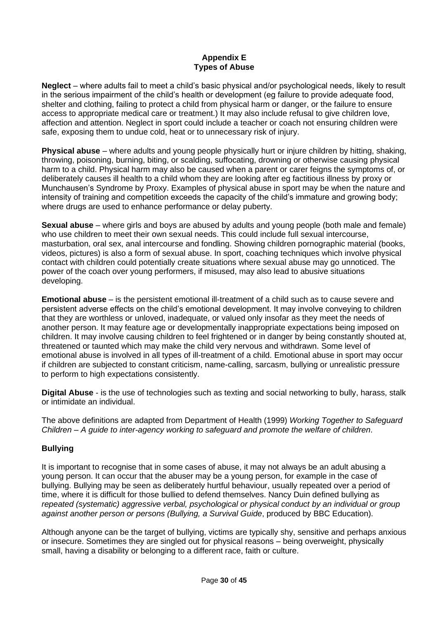### **Appendix E Types of Abuse**

**Neglect** – where adults fail to meet a child's basic physical and/or psychological needs, likely to result in the serious impairment of the child's health or development (eg failure to provide adequate food, shelter and clothing, failing to protect a child from physical harm or danger, or the failure to ensure access to appropriate medical care or treatment.) It may also include refusal to give children love, affection and attention. Neglect in sport could include a teacher or coach not ensuring children were safe, exposing them to undue cold, heat or to unnecessary risk of injury.

**Physical abuse** – where adults and young people physically hurt or injure children by hitting, shaking, throwing, poisoning, burning, biting, or scalding, suffocating, drowning or otherwise causing physical harm to a child. Physical harm may also be caused when a parent or carer feigns the symptoms of, or deliberately causes ill health to a child whom they are looking after eg factitious illness by proxy or Munchausen's Syndrome by Proxy. Examples of physical abuse in sport may be when the nature and intensity of training and competition exceeds the capacity of the child's immature and growing body; where drugs are used to enhance performance or delay puberty.

**Sexual abuse** – where girls and boys are abused by adults and young people (both male and female) who use children to meet their own sexual needs. This could include full sexual intercourse, masturbation, oral sex, anal intercourse and fondling. Showing children pornographic material (books, videos, pictures) is also a form of sexual abuse. In sport, coaching techniques which involve physical contact with children could potentially create situations where sexual abuse may go unnoticed. The power of the coach over young performers, if misused, may also lead to abusive situations developing.

**Emotional abuse** – is the persistent emotional ill-treatment of a child such as to cause severe and persistent adverse effects on the child's emotional development. It may involve conveying to children that they are worthless or unloved, inadequate, or valued only insofar as they meet the needs of another person. It may feature age or developmentally inappropriate expectations being imposed on children. It may involve causing children to feel frightened or in danger by being constantly shouted at, threatened or taunted which may make the child very nervous and withdrawn. Some level of emotional abuse is involved in all types of ill-treatment of a child. Emotional abuse in sport may occur if children are subjected to constant criticism, name-calling, sarcasm, bullying or unrealistic pressure to perform to high expectations consistently.

**Digital Abuse** - is the use of technologies such as texting and social networking to bully, harass, stalk or intimidate an individual.

The above definitions are adapted from Department of Health (1999) *Working Together to Safeguard Children – A guide to inter-agency working to safeguard and promote the welfare of children*.

# **Bullying**

It is important to recognise that in some cases of abuse, it may not always be an adult abusing a young person. It can occur that the abuser may be a young person, for example in the case of bullying. Bullying may be seen as deliberately hurtful behaviour, usually repeated over a period of time, where it is difficult for those bullied to defend themselves. Nancy Duin defined bullying as *repeated (systematic) aggressive verbal, psychological or physical conduct by an individual or group against another person or persons (Bullying, a Survival Guide*, produced by BBC Education).

Although anyone can be the target of bullying, victims are typically shy, sensitive and perhaps anxious or insecure. Sometimes they are singled out for physical reasons – being overweight, physically small, having a disability or belonging to a different race, faith or culture.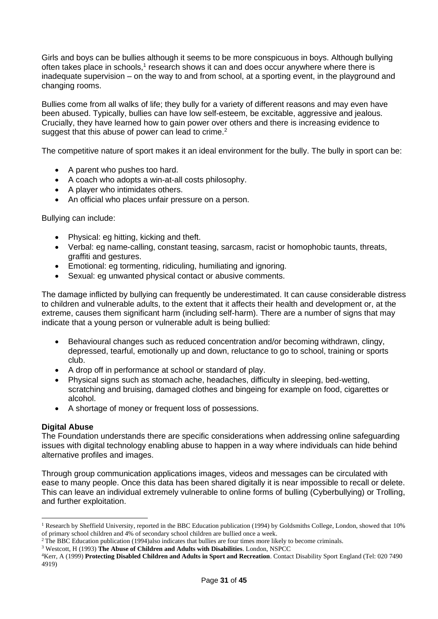Girls and boys can be bullies although it seems to be more conspicuous in boys. Although bullying often takes place in schools,<sup>1</sup> research shows it can and does occur anywhere where there is inadequate supervision – on the way to and from school, at a sporting event, in the playground and changing rooms.

Bullies come from all walks of life; they bully for a variety of different reasons and may even have been abused. Typically, bullies can have low self-esteem, be excitable, aggressive and jealous. Crucially, they have learned how to gain power over others and there is increasing evidence to suggest that this abuse of power can lead to crime.<sup>2</sup>

The competitive nature of sport makes it an ideal environment for the bully. The bully in sport can be:

- A parent who pushes too hard.
- A coach who adopts a win-at-all costs philosophy.
- A player who intimidates others.
- An official who places unfair pressure on a person.

Bullying can include:

- Physical: eg hitting, kicking and theft.
- Verbal: eg name-calling, constant teasing, sarcasm, racist or homophobic taunts, threats, graffiti and gestures.
- Emotional: eg tormenting, ridiculing, humiliating and ignoring.
- Sexual: eg unwanted physical contact or abusive comments.

The damage inflicted by bullying can frequently be underestimated. It can cause considerable distress to children and vulnerable adults, to the extent that it affects their health and development or, at the extreme, causes them significant harm (including self-harm). There are a number of signs that may indicate that a young person or vulnerable adult is being bullied:

- Behavioural changes such as reduced concentration and/or becoming withdrawn, clingy, depressed, tearful, emotionally up and down, reluctance to go to school, training or sports club.
- A drop off in performance at school or standard of play.
- Physical signs such as stomach ache, headaches, difficulty in sleeping, bed-wetting, scratching and bruising, damaged clothes and bingeing for example on food, cigarettes or alcohol.
- A shortage of money or frequent loss of possessions.

#### **Digital Abuse**

The Foundation understands there are specific considerations when addressing online safeguarding issues with digital technology enabling abuse to happen in a way where individuals can hide behind alternative profiles and images.

Through group communication applications images, videos and messages can be circulated with ease to many people. Once this data has been shared digitally it is near impossible to recall or delete. This can leave an individual extremely vulnerable to online forms of bulling (Cyberbullying) or Trolling, and further exploitation.

<sup>&</sup>lt;sup>1</sup> Research by Sheffield University, reported in the BBC Education publication (1994) by Goldsmiths College, London, showed that  $10\%$ of primary school children and 4% of secondary school children are bullied once a week.

<sup>&</sup>lt;sup>2</sup>The BBC Education publication (1994)also indicates that bullies are four times more likely to become criminals.

<sup>3</sup> Westcott, H (1993) **The Abuse of Children and Adults with Disabilities**. London, NSPCC

<sup>4</sup>Kerr, A (1999) **Protecting Disabled Children and Adults in Sport and Recreation**. Contact Disability Sport England (Tel: 020 7490 4919)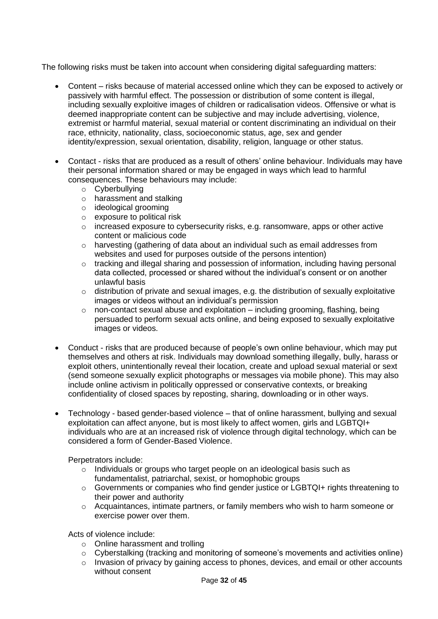The following risks must be taken into account when considering digital safeguarding matters:

- Content risks because of material accessed online which they can be exposed to actively or passively with harmful effect. The possession or distribution of some content is illegal, including sexually exploitive images of children or radicalisation videos. Offensive or what is deemed inappropriate content can be subjective and may include advertising, violence, extremist or harmful material, sexual material or content discriminating an individual on their race, ethnicity, nationality, class, socioeconomic status, age, sex and gender identity/expression, sexual orientation, disability, religion, language or other status.
- Contact risks that are produced as a result of others' online behaviour. Individuals may have their personal information shared or may be engaged in ways which lead to harmful consequences. These behaviours may include:
	- o Cyberbullying
	- o harassment and stalking
	- o ideological grooming
	- o exposure to political risk
	- o increased exposure to cybersecurity risks, e.g. ransomware, apps or other active content or malicious code
	- o harvesting (gathering of data about an individual such as email addresses from websites and used for purposes outside of the persons intention)
	- o tracking and illegal sharing and possession of information, including having personal data collected, processed or shared without the individual's consent or on another unlawful basis
	- o distribution of private and sexual images, e.g. the distribution of sexually exploitative images or videos without an individual's permission
	- o non-contact sexual abuse and exploitation including grooming, flashing, being persuaded to perform sexual acts online, and being exposed to sexually exploitative images or videos.
- Conduct risks that are produced because of people's own online behaviour, which may put themselves and others at risk. Individuals may download something illegally, bully, harass or exploit others, unintentionally reveal their location, create and upload sexual material or sext (send someone sexually explicit photographs or messages via mobile phone). This may also include online activism in politically oppressed or conservative contexts, or breaking confidentiality of closed spaces by reposting, sharing, downloading or in other ways.
- Technology based gender-based violence that of online harassment, bullying and sexual exploitation can affect anyone, but is most likely to affect women, girls and LGBTQI+ individuals who are at an increased risk of violence through digital technology, which can be considered a form of Gender-Based Violence.

Perpetrators include:

- o Individuals or groups who target people on an ideological basis such as fundamentalist, patriarchal, sexist, or homophobic groups
- o Governments or companies who find gender justice or LGBTQI+ rights threatening to their power and authority
- o Acquaintances, intimate partners, or family members who wish to harm someone or exercise power over them.

Acts of violence include:

- o Online harassment and trolling
- $\circ$  Cyberstalking (tracking and monitoring of someone's movements and activities online)
- o Invasion of privacy by gaining access to phones, devices, and email or other accounts without consent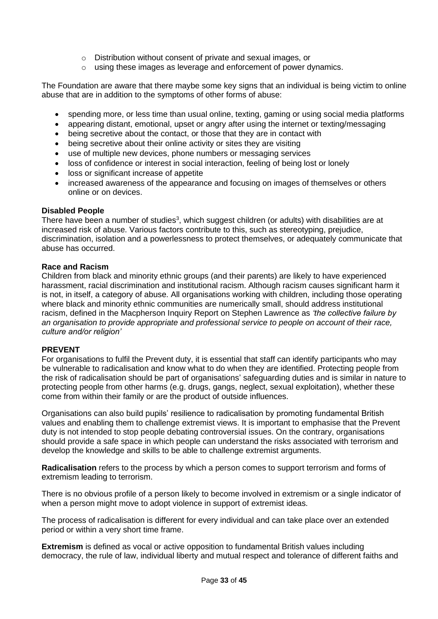- o Distribution without consent of private and sexual images, or
- o using these images as leverage and enforcement of power dynamics.

The Foundation are aware that there maybe some key signs that an individual is being victim to online abuse that are in addition to the symptoms of other forms of abuse:

- spending more, or less time than usual online, texting, gaming or using social media platforms
- appearing distant, emotional, upset or angry after using the internet or texting/messaging
- being secretive about the contact, or those that they are in contact with
- being secretive about their online activity or sites they are visiting
- use of multiple new devices, phone numbers or messaging services
- loss of confidence or interest in social interaction, feeling of being lost or lonely
- loss or significant increase of appetite
- increased awareness of the appearance and focusing on images of themselves or others online or on devices.

#### **Disabled People**

There have been a number of studies<sup>3</sup>, which suggest children (or adults) with disabilities are at increased risk of abuse. Various factors contribute to this, such as stereotyping, prejudice, discrimination, isolation and a powerlessness to protect themselves, or adequately communicate that abuse has occurred.

#### **Race and Racism**

Children from black and minority ethnic groups (and their parents) are likely to have experienced harassment, racial discrimination and institutional racism. Although racism causes significant harm it is not, in itself, a category of abuse. All organisations working with children, including those operating where black and minority ethnic communities are numerically small, should address institutional racism, defined in the Macpherson Inquiry Report on Stephen Lawrence as *'the collective failure by an organisation to provide appropriate and professional service to people on account of their race, culture and/or religion'*

#### **PREVENT**

For organisations to fulfil the Prevent duty, it is essential that staff can identify participants who may be vulnerable to radicalisation and know what to do when they are identified. Protecting people from the risk of radicalisation should be part of organisations' safeguarding duties and is similar in nature to protecting people from other harms (e.g. drugs, gangs, neglect, sexual exploitation), whether these come from within their family or are the product of outside influences.

Organisations can also build pupils' resilience to radicalisation by promoting fundamental British values and enabling them to challenge extremist views. It is important to emphasise that the Prevent duty is not intended to stop people debating controversial issues. On the contrary, organisations should provide a safe space in which people can understand the risks associated with terrorism and develop the knowledge and skills to be able to challenge extremist arguments.

**Radicalisation** refers to the process by which a person comes to support terrorism and forms of extremism leading to terrorism.

There is no obvious profile of a person likely to become involved in extremism or a single indicator of when a person might move to adopt violence in support of extremist ideas.

The process of radicalisation is different for every individual and can take place over an extended period or within a very short time frame.

**Extremism** is defined as vocal or active opposition to fundamental British values including democracy, the rule of law, individual liberty and mutual respect and tolerance of different faiths and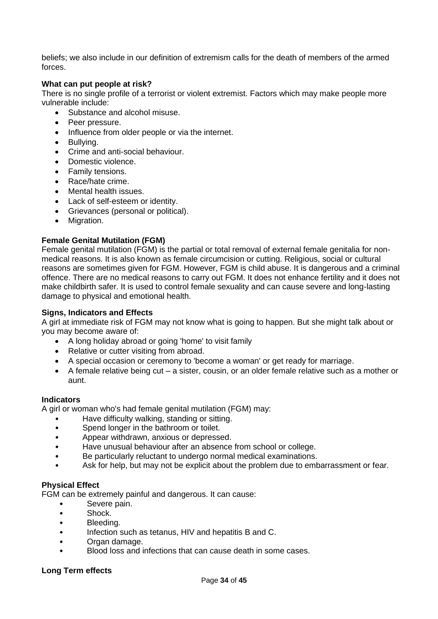beliefs; we also include in our definition of extremism calls for the death of members of the armed forces.

#### **What can put people at risk?**

There is no single profile of a terrorist or violent extremist. Factors which may make people more vulnerable include:

- Substance and alcohol misuse.
- Peer pressure.
- Influence from older people or via the internet.
- Bullying.
- Crime and anti-social behaviour.
- Domestic violence.
- Family tensions.
- Race/hate crime.
- Mental health issues.
- Lack of self-esteem or identity.
- Grievances (personal or political).
- Migration.

#### **Female Genital Mutilation (FGM)**

Female genital mutilation (FGM) is the partial or total removal of external female genitalia for nonmedical reasons. It is also known as female circumcision or cutting. Religious, social or cultural reasons are sometimes given for FGM. However, FGM is child abuse. It is dangerous and a criminal offence. There are no medical reasons to carry out FGM. It does not enhance fertility and it does not make childbirth safer. It is used to control female sexuality and can cause severe and long-lasting damage to physical and emotional health.

#### **Signs, Indicators and Effects**

A girl at immediate risk of FGM may not know what is going to happen. But she might talk about or you may become aware of:

- A long holiday abroad or going 'home' to visit family
- Relative or cutter visiting from abroad.
- A special occasion or ceremony to 'become a woman' or get ready for marriage.
- A female relative being cut a sister, cousin, or an older female relative such as a mother or aunt.

#### **Indicators**

A girl or woman who's had female genital mutilation (FGM) may:

- Have difficulty walking, standing or sitting.
- Spend longer in the bathroom or toilet.
- Appear withdrawn, anxious or depressed.
- Have unusual behaviour after an absence from school or college.
- Be particularly reluctant to undergo normal medical examinations.
- Ask for help, but may not be explicit about the problem due to embarrassment or fear.

#### **Physical Effect**

FGM can be extremely painful and dangerous. It can cause:

- Severe pain.
- Shock.
- Bleeding.
- Infection such as tetanus, HIV and hepatitis B and C.
- Organ damage.
- Blood loss and infections that can cause death in some cases.

#### **Long Term effects**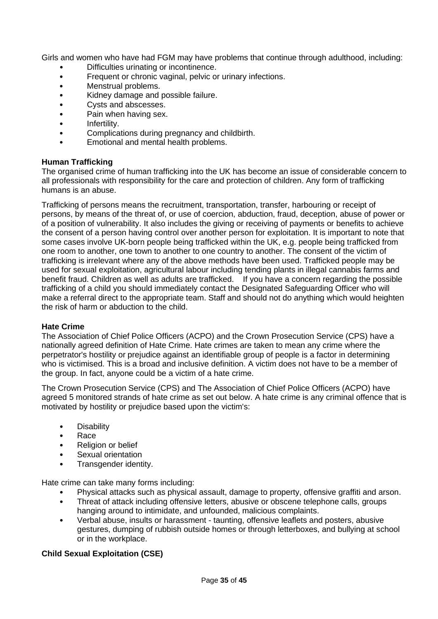Girls and women who have had FGM may have problems that continue through adulthood, including:

- Difficulties urinating or incontinence.
- Frequent or chronic vaginal, pelvic or urinary infections.
- Menstrual problems.
- Kidney damage and possible failure.
- Cysts and abscesses.
- Pain when having sex.
- Infertility.
- Complications during pregnancy and childbirth.
- Emotional and mental health problems.

### **Human Trafficking**

The organised crime of human trafficking into the UK has become an issue of considerable concern to all professionals with responsibility for the care and protection of children. Any form of trafficking humans is an abuse.

Trafficking of persons means the recruitment, transportation, transfer, harbouring or receipt of persons, by means of the threat of, or use of coercion, abduction, fraud, deception, abuse of power or of a position of vulnerability. It also includes the giving or receiving of payments or benefits to achieve the consent of a person having control over another person for exploitation. It is important to note that some cases involve UK-born people being trafficked within the UK, e.g. people being trafficked from one room to another, one town to another to one country to another. The consent of the victim of trafficking is irrelevant where any of the above methods have been used. Trafficked people may be used for sexual exploitation, agricultural labour including tending plants in illegal cannabis farms and benefit fraud. Children as well as adults are trafficked. If you have a concern regarding the possible trafficking of a child you should immediately contact the Designated Safeguarding Officer who will make a referral direct to the appropriate team. Staff and should not do anything which would heighten the risk of harm or abduction to the child.

#### **Hate Crime**

The Association of Chief Police Officers (ACPO) and the Crown Prosecution Service (CPS) have a nationally agreed definition of Hate Crime. Hate crimes are taken to mean any crime where the perpetrator's hostility or prejudice against an identifiable group of people is a factor in determining who is victimised. This is a broad and inclusive definition. A victim does not have to be a member of the group. In fact, anyone could be a victim of a hate crime.

The Crown Prosecution Service (CPS) and The Association of Chief Police Officers (ACPO) have agreed 5 monitored strands of hate crime as set out below. A hate crime is any criminal offence that is motivated by hostility or prejudice based upon the victim's:

- Disability
- Race
- Religion or belief
- Sexual orientation
- Transgender identity.

Hate crime can take many forms including:

- Physical attacks such as physical assault, damage to property, offensive graffiti and arson.
- Threat of attack including offensive letters, abusive or obscene telephone calls, groups hanging around to intimidate, and unfounded, malicious complaints.
- Verbal abuse, insults or harassment taunting, offensive leaflets and posters, abusive gestures, dumping of rubbish outside homes or through letterboxes, and bullying at school or in the workplace.

# **Child Sexual Exploitation (CSE)**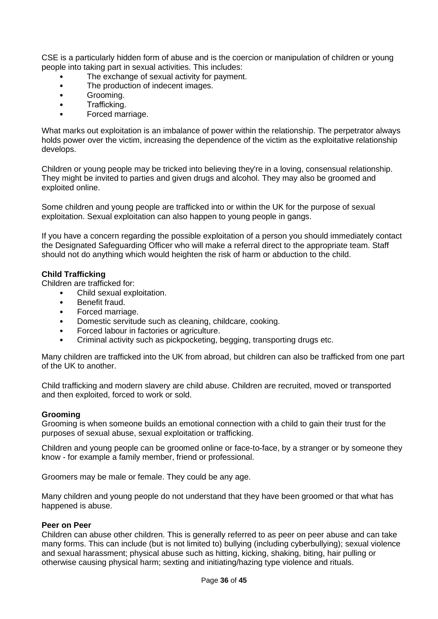CSE is a particularly hidden form of abuse and is the coercion or manipulation of children or young people into taking part in sexual activities. This includes:

- The exchange of sexual activity for payment.
- The production of indecent images.
- Grooming.
- Trafficking.
- Forced marriage.

What marks out exploitation is an imbalance of power within the relationship. The perpetrator always holds power over the victim, increasing the dependence of the victim as the exploitative relationship develops.

Children or young people may be tricked into believing they're in a loving, consensual relationship. They might be invited to parties and given drugs and alcohol. They may also be groomed and exploited online.

Some children and young people are trafficked into or within the UK for the purpose of sexual exploitation. Sexual exploitation can also happen to young people in gangs.

If you have a concern regarding the possible exploitation of a person you should immediately contact the Designated Safeguarding Officer who will make a referral direct to the appropriate team. Staff should not do anything which would heighten the risk of harm or abduction to the child.

#### **Child Trafficking**

Children are trafficked for:

- Child sexual exploitation.
- Benefit fraud.
- Forced marriage.
- Domestic servitude such as cleaning, childcare, cooking.
- Forced labour in factories or agriculture.
- Criminal activity such as pickpocketing, begging, transporting drugs etc.

Many children are trafficked into the UK from abroad, but children can also be trafficked from one part of the UK to another.

Child trafficking and modern slavery are child abuse. Children are recruited, moved or transported and then exploited, forced to work or sold.

#### **Grooming**

Grooming is when someone builds an emotional connection with a child to gain their trust for the purposes of sexual abuse, sexual exploitation or trafficking.

Children and young people can be groomed online or face-to-face, by a stranger or by someone they know - for example a family member, friend or professional.

Groomers may be male or female. They could be any age.

Many children and young people do not understand that they have been groomed or that what has happened is abuse.

#### **Peer on Peer**

Children can abuse other children. This is generally referred to as peer on peer abuse and can take many forms. This can include (but is not limited to) bullying (including cyberbullying); sexual violence and sexual harassment; physical abuse such as hitting, kicking, shaking, biting, hair pulling or otherwise causing physical harm; sexting and initiating/hazing type violence and rituals.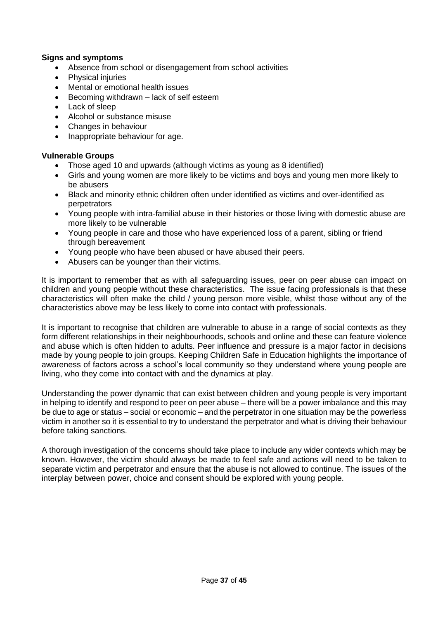### **Signs and symptoms**

- Absence from school or disengagement from school activities
- Physical injuries
- Mental or emotional health issues
- Becoming withdrawn lack of self esteem
- Lack of sleep
- Alcohol or substance misuse
- Changes in behaviour
- Inappropriate behaviour for age.

#### **Vulnerable Groups**

- Those aged 10 and upwards (although victims as young as 8 identified)
- Girls and young women are more likely to be victims and boys and young men more likely to be abusers
- Black and minority ethnic children often under identified as victims and over-identified as perpetrators
- Young people with intra-familial abuse in their histories or those living with domestic abuse are more likely to be vulnerable
- Young people in care and those who have experienced loss of a parent, sibling or friend through bereavement
- Young people who have been abused or have abused their peers.
- Abusers can be younger than their victims.

It is important to remember that as with all safeguarding issues, peer on peer abuse can impact on children and young people without these characteristics. The issue facing professionals is that these characteristics will often make the child / young person more visible, whilst those without any of the characteristics above may be less likely to come into contact with professionals.

It is important to recognise that children are vulnerable to abuse in a range of social contexts as they form different relationships in their neighbourhoods, schools and online and these can feature violence and abuse which is often hidden to adults. Peer influence and pressure is a major factor in decisions made by young people to join groups. Keeping Children Safe in Education highlights the importance of awareness of factors across a school's local community so they understand where young people are living, who they come into contact with and the dynamics at play.

Understanding the power dynamic that can exist between children and young people is very important in helping to identify and respond to peer on peer abuse – there will be a power imbalance and this may be due to age or status – social or economic – and the perpetrator in one situation may be the powerless victim in another so it is essential to try to understand the perpetrator and what is driving their behaviour before taking sanctions.

A thorough investigation of the concerns should take place to include any wider contexts which may be known. However, the victim should always be made to feel safe and actions will need to be taken to separate victim and perpetrator and ensure that the abuse is not allowed to continue. The issues of the interplay between power, choice and consent should be explored with young people.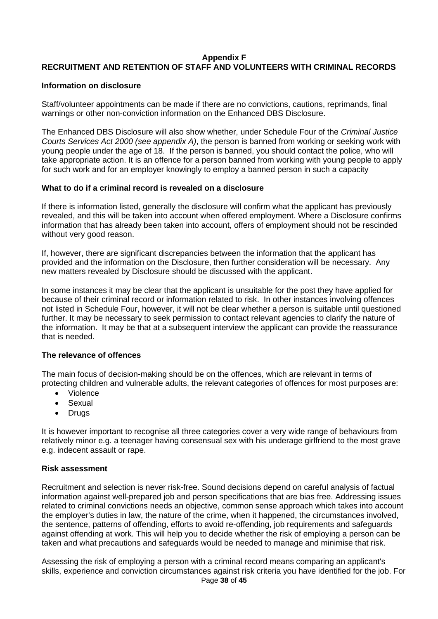#### **Appendix F**

# **RECRUITMENT AND RETENTION OF STAFF AND VOLUNTEERS WITH CRIMINAL RECORDS**

#### **Information on disclosure**

Staff/volunteer appointments can be made if there are no convictions, cautions, reprimands, final warnings or other non-conviction information on the Enhanced DBS Disclosure.

The Enhanced DBS Disclosure will also show whether, under Schedule Four of the *Criminal Justice Courts Services Act 2000 (see appendix A)*, the person is banned from working or seeking work with young people under the age of 18. If the person is banned, you should contact the police, who will take appropriate action. It is an offence for a person banned from working with young people to apply for such work and for an employer knowingly to employ a banned person in such a capacity

#### **What to do if a criminal record is revealed on a disclosure**

If there is information listed, generally the disclosure will confirm what the applicant has previously revealed, and this will be taken into account when offered employment. Where a Disclosure confirms information that has already been taken into account, offers of employment should not be rescinded without very good reason.

If, however, there are significant discrepancies between the information that the applicant has provided and the information on the Disclosure, then further consideration will be necessary. Any new matters revealed by Disclosure should be discussed with the applicant.

In some instances it may be clear that the applicant is unsuitable for the post they have applied for because of their criminal record or information related to risk. In other instances involving offences not listed in Schedule Four, however, it will not be clear whether a person is suitable until questioned further. It may be necessary to seek permission to contact relevant agencies to clarify the nature of the information. It may be that at a subsequent interview the applicant can provide the reassurance that is needed.

#### **The relevance of offences**

The main focus of decision-making should be on the offences, which are relevant in terms of protecting children and vulnerable adults, the relevant categories of offences for most purposes are:

- Violence
- Sexual
- Drugs

It is however important to recognise all three categories cover a very wide range of behaviours from relatively minor e.g. a teenager having consensual sex with his underage girlfriend to the most grave e.g. indecent assault or rape.

#### **Risk assessment**

Recruitment and selection is never risk-free. Sound decisions depend on careful analysis of factual information against well-prepared job and person specifications that are bias free. Addressing issues related to criminal convictions needs an objective, common sense approach which takes into account the employer's duties in law, the nature of the crime, when it happened, the circumstances involved, the sentence, patterns of offending, efforts to avoid re-offending, job requirements and safeguards against offending at work. This will help you to decide whether the risk of employing a person can be taken and what precautions and safeguards would be needed to manage and minimise that risk.

Assessing the risk of employing a person with a criminal record means comparing an applicant's skills, experience and conviction circumstances against risk criteria you have identified for the job. For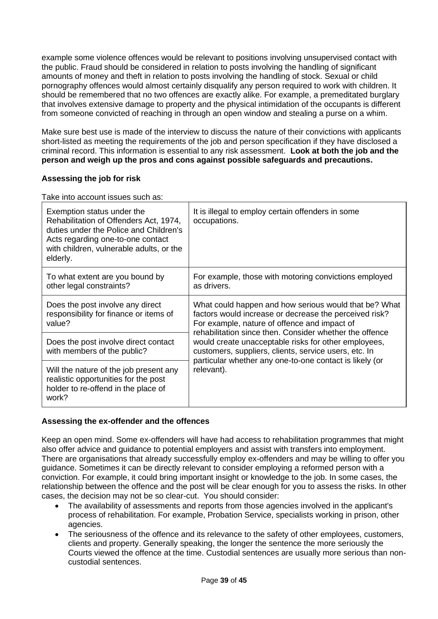example some violence offences would be relevant to positions involving unsupervised contact with the public. Fraud should be considered in relation to posts involving the handling of significant amounts of money and theft in relation to posts involving the handling of stock. Sexual or child pornography offences would almost certainly disqualify any person required to work with children. It should be remembered that no two offences are exactly alike. For example, a premeditated burglary that involves extensive damage to property and the physical intimidation of the occupants is different from someone convicted of reaching in through an open window and stealing a purse on a whim.

Make sure best use is made of the interview to discuss the nature of their convictions with applicants short-listed as meeting the requirements of the job and person specification if they have disclosed a criminal record. This information is essential to any risk assessment. **Look at both the job and the person and weigh up the pros and cons against possible safeguards and precautions.** 

# **Assessing the job for risk**

Take into account issues such as:

| Exemption status under the<br>Rehabilitation of Offenders Act, 1974,<br>duties under the Police and Children's<br>Acts regarding one-to-one contact<br>with children, vulnerable adults, or the<br>elderly. | It is illegal to employ certain offenders in some<br>occupations.                                                                                                                                                          |  |
|-------------------------------------------------------------------------------------------------------------------------------------------------------------------------------------------------------------|----------------------------------------------------------------------------------------------------------------------------------------------------------------------------------------------------------------------------|--|
| To what extent are you bound by<br>other legal constraints?                                                                                                                                                 | For example, those with motoring convictions employed<br>as drivers.                                                                                                                                                       |  |
| Does the post involve any direct<br>responsibility for finance or items of<br>value?                                                                                                                        | What could happen and how serious would that be? What<br>factors would increase or decrease the perceived risk?<br>For example, nature of offence and impact of<br>rehabilitation since then. Consider whether the offence |  |
| Does the post involve direct contact<br>with members of the public?                                                                                                                                         | would create unacceptable risks for other employees,<br>customers, suppliers, clients, service users, etc. In<br>particular whether any one-to-one contact is likely (or                                                   |  |
| Will the nature of the job present any<br>realistic opportunities for the post<br>holder to re-offend in the place of<br>work?                                                                              | relevant).                                                                                                                                                                                                                 |  |

# **Assessing the ex-offender and the offences**

Keep an open mind. Some ex-offenders will have had access to rehabilitation programmes that might also offer advice and guidance to potential employers and assist with transfers into employment. There are organisations that already successfully employ ex-offenders and may be willing to offer you guidance. Sometimes it can be directly relevant to consider employing a reformed person with a conviction. For example, it could bring important insight or knowledge to the job. In some cases, the relationship between the offence and the post will be clear enough for you to assess the risks. In other cases, the decision may not be so clear-cut. You should consider:

- The availability of assessments and reports from those agencies involved in the applicant's process of rehabilitation. For example, Probation Service, specialists working in prison, other agencies.
- The seriousness of the offence and its relevance to the safety of other employees, customers, clients and property. Generally speaking, the longer the sentence the more seriously the Courts viewed the offence at the time. Custodial sentences are usually more serious than noncustodial sentences.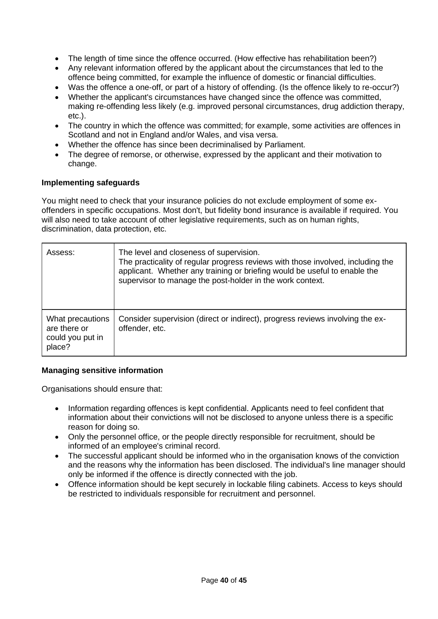- The length of time since the offence occurred. (How effective has rehabilitation been?)
- Any relevant information offered by the applicant about the circumstances that led to the offence being committed, for example the influence of domestic or financial difficulties.
- Was the offence a one-off, or part of a history of offending. (Is the offence likely to re-occur?)
- Whether the applicant's circumstances have changed since the offence was committed, making re-offending less likely (e.g. improved personal circumstances, drug addiction therapy, etc.).
- The country in which the offence was committed; for example, some activities are offences in Scotland and not in England and/or Wales, and visa versa.
- Whether the offence has since been decriminalised by Parliament.
- The degree of remorse, or otherwise, expressed by the applicant and their motivation to change.

#### **Implementing safeguards**

You might need to check that your insurance policies do not exclude employment of some exoffenders in specific occupations. Most don't, but fidelity bond insurance is available if required. You will also need to take account of other legislative requirements, such as on human rights, discrimination, data protection, etc.

| Assess:                                                        | The level and closeness of supervision.<br>The practicality of regular progress reviews with those involved, including the<br>applicant. Whether any training or briefing would be useful to enable the<br>supervisor to manage the post-holder in the work context. |
|----------------------------------------------------------------|----------------------------------------------------------------------------------------------------------------------------------------------------------------------------------------------------------------------------------------------------------------------|
| What precautions<br>are there or<br>could you put in<br>place? | Consider supervision (direct or indirect), progress reviews involving the ex-<br>offender, etc.                                                                                                                                                                      |

#### **Managing sensitive information**

Organisations should ensure that:

- Information regarding offences is kept confidential. Applicants need to feel confident that information about their convictions will not be disclosed to anyone unless there is a specific reason for doing so.
- Only the personnel office, or the people directly responsible for recruitment, should be informed of an employee's criminal record.
- The successful applicant should be informed who in the organisation knows of the conviction and the reasons why the information has been disclosed. The individual's line manager should only be informed if the offence is directly connected with the job.
- Offence information should be kept securely in lockable filing cabinets. Access to keys should be restricted to individuals responsible for recruitment and personnel.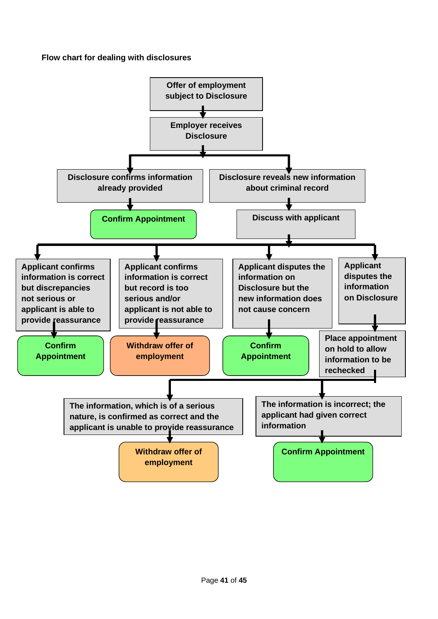# **Flow chart for dealing with disclosures**

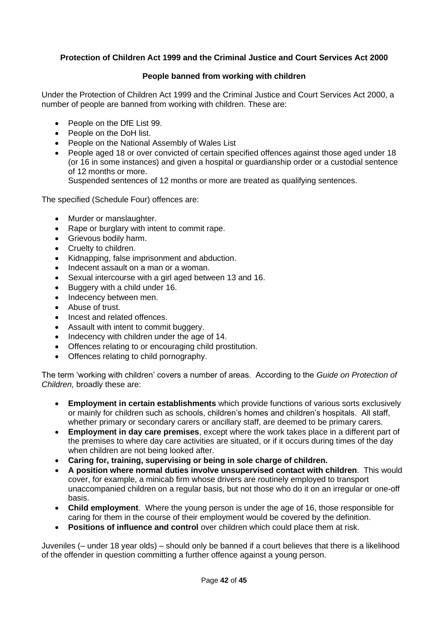# **Protection of Children Act 1999 and the Criminal Justice and Court Services Act 2000**

### **People banned from working with children**

Under the Protection of Children Act 1999 and the Criminal Justice and Court Services Act 2000, a number of people are banned from working with children. These are:

- People on the DfE List 99.
- People on the DoH list.
- People on the National Assembly of Wales List
- People aged 18 or over convicted of certain specified offences against those aged under 18 (or 16 in some instances) and given a hospital or guardianship order or a custodial sentence of 12 months or more.

Suspended sentences of 12 months or more are treated as qualifying sentences.

The specified (Schedule Four) offences are:

- Murder or manslaughter.
- Rape or burglary with intent to commit rape.
- Grievous bodily harm.
- Cruelty to children.
- Kidnapping, false imprisonment and abduction.
- Indecent assault on a man or a woman.
- Sexual intercourse with a girl aged between 13 and 16.
- Buggery with a child under 16.
- Indecency between men.
- Abuse of trust.
- Incest and related offences.
- Assault with intent to commit buggery.
- Indecency with children under the age of 14.
- Offences relating to or encouraging child prostitution.
- Offences relating to child pornography.

The term 'working with children' covers a number of areas. According to the *Guide on Protection of Children,* broadly these are:

- **Employment in certain establishments** which provide functions of various sorts exclusively or mainly for children such as schools, children's homes and children's hospitals. All staff, whether primary or secondary carers or ancillary staff, are deemed to be primary carers.
- **Employment in day care premises**, except where the work takes place in a different part of the premises to where day care activities are situated, or if it occurs during times of the day when children are not being looked after.
- **Caring for, training, supervising or being in sole charge of children.**
- **A position where normal duties involve unsupervised contact with children**. This would cover, for example, a minicab firm whose drivers are routinely employed to transport unaccompanied children on a regular basis, but not those who do it on an irregular or one-off basis.
- **Child employment**. Where the young person is under the age of 16, those responsible for caring for them in the course of their employment would be covered by the definition.
- **Positions of influence and control** over children which could place them at risk.

Juveniles (– under 18 year olds) – should only be banned if a court believes that there is a likelihood of the offender in question committing a further offence against a young person.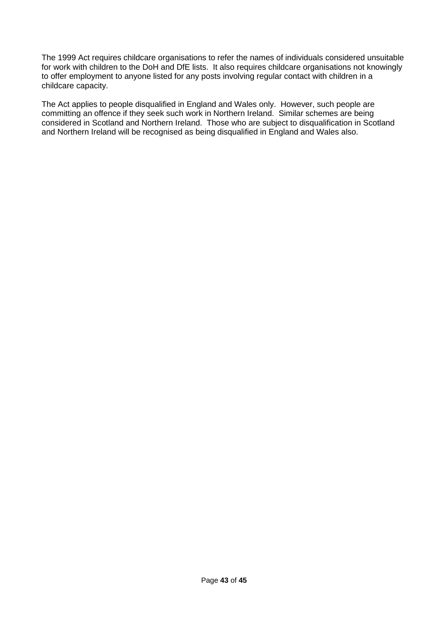The 1999 Act requires childcare organisations to refer the names of individuals considered unsuitable for work with children to the DoH and DfE lists. It also requires childcare organisations not knowingly to offer employment to anyone listed for any posts involving regular contact with children in a childcare capacity.

The Act applies to people disqualified in England and Wales only. However, such people are committing an offence if they seek such work in Northern Ireland. Similar schemes are being considered in Scotland and Northern Ireland. Those who are subject to disqualification in Scotland and Northern Ireland will be recognised as being disqualified in England and Wales also.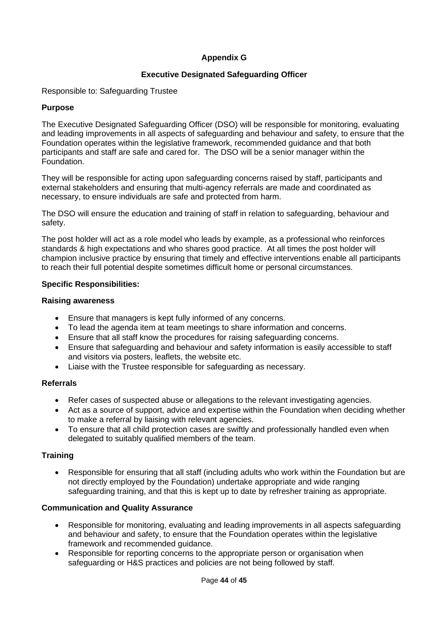# **Appendix G**

# **Executive Designated Safeguarding Officer**

Responsible to: Safeguarding Trustee

#### **Purpose**

The Executive Designated Safeguarding Officer (DSO) will be responsible for monitoring, evaluating and leading improvements in all aspects of safeguarding and behaviour and safety, to ensure that the Foundation operates within the legislative framework, recommended guidance and that both participants and staff are safe and cared for. The DSO will be a senior manager within the Foundation.

They will be responsible for acting upon safeguarding concerns raised by staff, participants and external stakeholders and ensuring that multi-agency referrals are made and coordinated as necessary, to ensure individuals are safe and protected from harm.

The DSO will ensure the education and training of staff in relation to safeguarding, behaviour and safety.

The post holder will act as a role model who leads by example, as a professional who reinforces standards & high expectations and who shares good practice. At all times the post holder will champion inclusive practice by ensuring that timely and effective interventions enable all participants to reach their full potential despite sometimes difficult home or personal circumstances.

#### **Specific Responsibilities:**

#### **Raising awareness**

- Ensure that managers is kept fully informed of any concerns.
- To lead the agenda item at team meetings to share information and concerns.
- Ensure that all staff know the procedures for raising safeguarding concerns.
- Ensure that safeguarding and behaviour and safety information is easily accessible to staff and visitors via posters, leaflets, the website etc.
- Liaise with the Trustee responsible for safeguarding as necessary.

#### **Referrals**

- Refer cases of suspected abuse or allegations to the relevant investigating agencies.
- Act as a source of support, advice and expertise within the Foundation when deciding whether to make a referral by liaising with relevant agencies.
- To ensure that all child protection cases are swiftly and professionally handled even when delegated to suitably qualified members of the team.

#### **Training**

• Responsible for ensuring that all staff (including adults who work within the Foundation but are not directly employed by the Foundation) undertake appropriate and wide ranging safeguarding training, and that this is kept up to date by refresher training as appropriate.

#### **Communication and Quality Assurance**

- Responsible for monitoring, evaluating and leading improvements in all aspects safeguarding and behaviour and safety, to ensure that the Foundation operates within the legislative framework and recommended guidance.
- Responsible for reporting concerns to the appropriate person or organisation when safeguarding or H&S practices and policies are not being followed by staff.